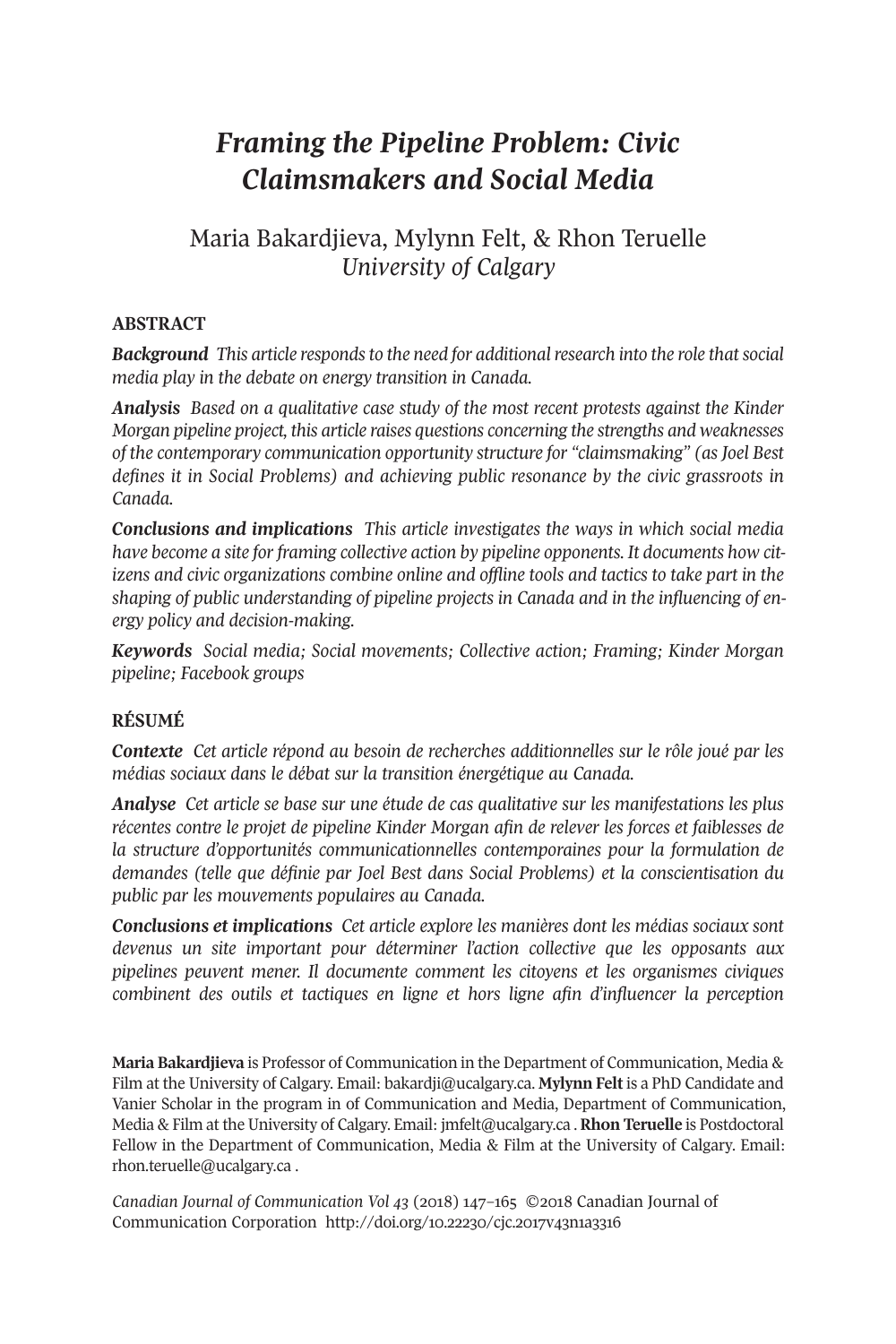# *Framing the Pipeline Problem: Civic Claimsmakers and Social Media*

## Maria Bakardjieva, Mylynn Felt, & Rhon Teruelle *University of Calgary*

## **ABSTRACT**

*Background This article respondsto the need for additionalresearch into the role thatsocial media play in the debate on energy transition in Canada.*

*Analysis Based on a qualitative case study of the most recent protests against the Kinder Morgan pipeline project, this article raises questions concerning the strengths and weaknesses of the contemporary communication opportunity structure for "claimsmaking" (as Joel Best defines it in Social Problems) and achieving public resonance by the civic grassroots in Canada.*

*Conclusions and implications This article investigates the ways in which social media have become a site forframing collective action by pipeline opponents. It documents how citizens and civic organizations combine online and offline tools and tactics to take part in the shaping of public understanding of pipeline projects in Canada and in the influencing of energy policy and decision-making.*

*Keywords Social media; Social movements; Collective action; Framing; Kinder Morgan pipeline; Facebook groups*

## **RÉSUMÉ**

*Contexte Cet article répond au besoin de recherches additionnelles sur le rôle joué par les médias sociaux dans le débat sur la transition énergétique au Canada.*

*Analyse Cet article se base sur une étude de cas qualitative sur les manifestations les plus récentes contre le projet de pipeline Kinder Morgan afin de relever les forces et faiblesses de la structure d'opportunités communicationnelles contemporaines pour la formulation de demandes (telle que définie par Joel Best dans Social Problems) et la conscientisation du public par les mouvements populaires au Canada.*

*Conclusions et implications Cet article explore les manières dont les médias sociaux sont devenus un site important pour déterminer l'action collective que les opposants aux pipelines peuvent mener. Il documente comment les citoyens et les organismes civiques combinent des outils et tactiques en ligne et hors ligne afin d'influencer la perception*

**Maria Bakardjieva** is Professor of Communication in the Department of Communication, Media & Film at the University of Calgary. Email: [bakardji@ucalgary.ca.](mailto:bakardji@ucalgary.ca) **Mylynn Felt** is a PhD Candidate and Vanier Scholar in the program in of Communication and Media, Department of Communication, Media & Film at the University of Calgary. Email: [jmfelt@ucalgary.ca](mailto:jmfelt@ucalgary.ca) . **Rhon Teruelle** is Postdoctoral Fellow in the Department of Communication, Media & Film at the University of Calgary. Email: [rhon.teruelle@ucalgary.ca](mailto:rhon.teruelle@ucalgary.ca) .

*Canadian Journal of [Communication](http://www.cjc-online.ca) Vol 43* (2018) 147–165 ©2018 Canadian Journal of Communication Corporation <http://doi.org/10.22230/cjc.2017v43n1a3316>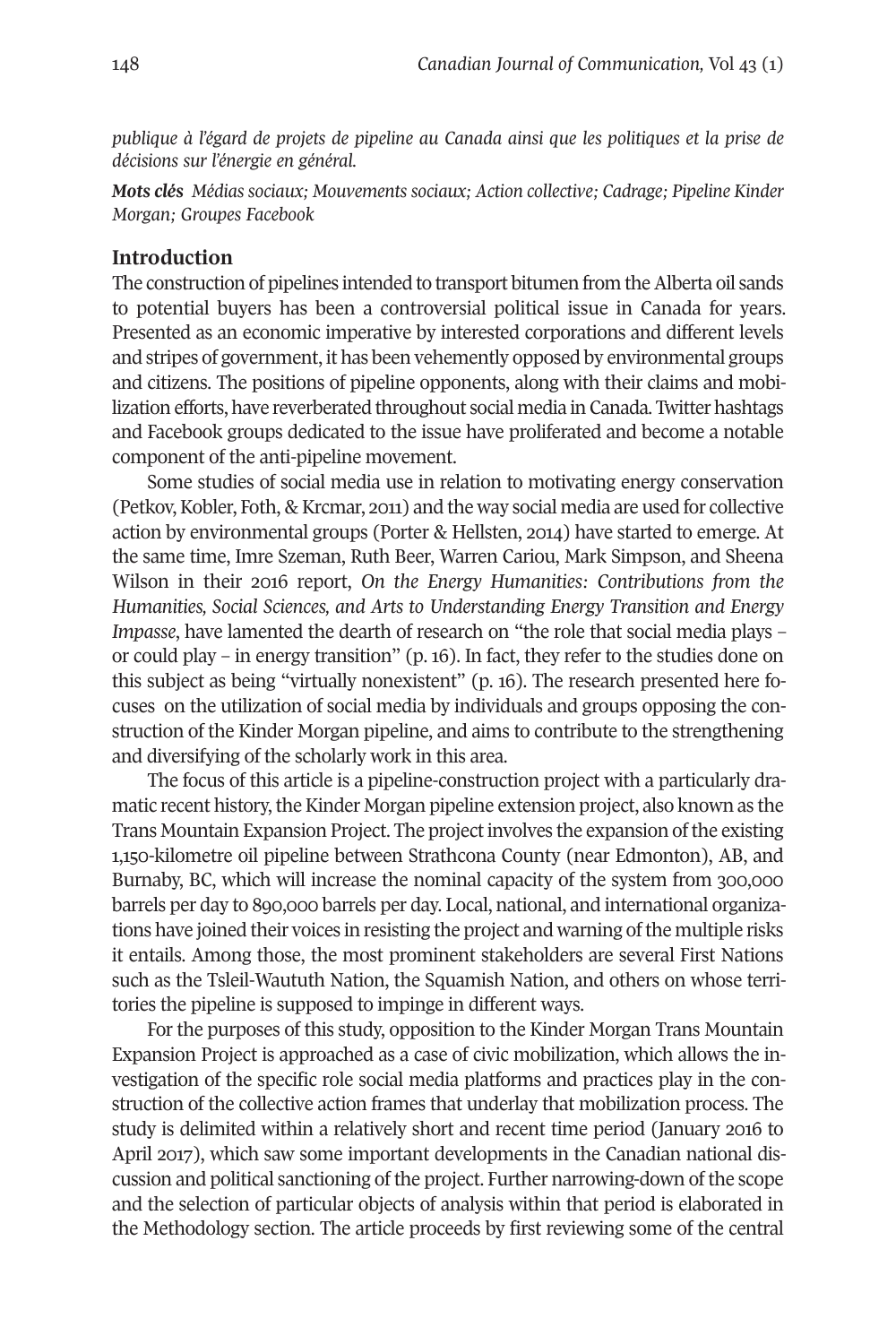*publique à l'égard de projets de pipeline au Canada ainsi que les politiques et la prise de décisions sur l'énergie en général.*

*Mots clés Médiassociaux; Mouvementssociaux; Action collective; Cadrage; Pipeline Kinder Morgan; Groupes Facebook*

## **Introduction**

The construction of pipelines intended to transport bitumen from the Alberta oil sands to potential buyers has been a controversial political issue in Canada for years. Presented as an economic imperative by interested corporations and different levels and stripes of government, it has been vehemently opposed by environmental groups and citizens. The positions of pipeline opponents, along with their claims and mobilization efforts, have reverberated throughout social media in Canada. Twitter hashtags and Facebook groups dedicated to the issue have proliferated and become a notable component of the anti-pipeline movement.

Some studies of social media use in relation to motivating energy conservation (Petkov,Kobler, Foth, & Krcmar, 2011) and the way social media are used for collective action by environmental groups (Porter & Hellsten, 2014) have started to emerge. At the same time, Imre Szeman, Ruth Beer, Warren Cariou, Mark Simpson, and Sheena Wilson in their 2016 report, *On the Energy Humanities: Contributions from the Humanities, Social Sciences, and Arts to Understanding Energy Transition and Energy Impasse*, have lamented the dearth of research on "the role that social media plays – or could play – in energy transition" (p. 16). In fact, they refer to the studies done on this subject as being "virtually nonexistent" (p. 16). The research presented here focuses on the utilization of social media by individuals and groups opposing the construction of the Kinder Morgan pipeline, and aims to contribute to the strengthening and diversifying of the scholarly work in this area.

The focus of this article is a pipeline-construction project with a particularly dramatic recent history, the Kinder Morgan pipeline extension project, also known as the Trans Mountain Expansion Project. The projectinvolves the expansion ofthe existing 1,150-kilometre oil pipeline between Strathcona County (near Edmonton), AB, and Burnaby, BC, which will increase the nominal capacity of the system from 300,000 barrels per day to 890,000 barrels per day. Local, national, and international organizations have joined their voices in resisting the project and warning ofthe multiple risks it entails. Among those, the most prominent stakeholders are several First Nations such as the Tsleil-Waututh Nation, the Squamish Nation, and others on whose territories the pipeline is supposed to impinge in different ways.

For the purposes of this study, opposition to the Kinder Morgan Trans Mountain Expansion Project is approached as a case of civic mobilization, which allows the investigation of the specific role social media platforms and practices play in the construction of the collective action frames that underlay that mobilization process. The study is delimited within a relatively short and recent time period (January 2016 to April 2017), which saw some important developments in the Canadian national discussion and political sanctioning of the project. Further narrowing-down of the scope and the selection of particular objects of analysis within that period is elaborated in the Methodology section. The article proceeds by first reviewing some of the central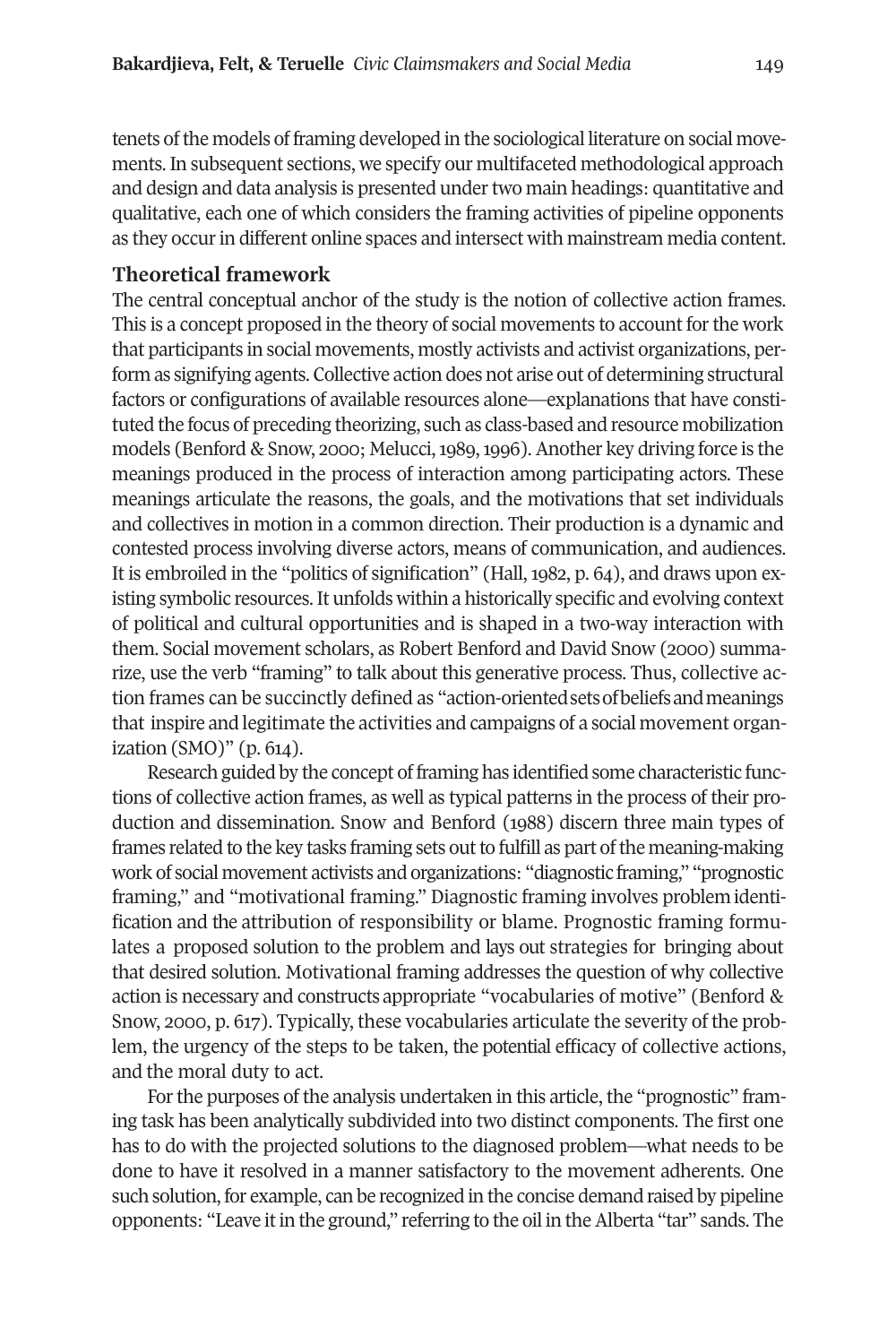tenets ofthe models of framing developed in the sociological literature on social movements. In subsequent sections, we specify our multifaceted methodological approach and design and data analysis is presented under two main headings: quantitative and qualitative, each one of which considers the framing activities of pipeline opponents as they occurin different online spaces and intersect with mainstream media content.

## **Theoretical framework**

The central conceptual anchor of the study is the notion of collective action frames. This is a concept proposed in the theory of social movements to account forthe work that participants in social movements, mostly activists and activist organizations, perform as signifying agents. Collective action does not arise out of determining structural factors or configurations of available resources alone—explanations that have constituted the focus of preceding theorizing, such as class-based and resource mobilization models (Benford & Snow, 2000; Melucci,1989,1996).Another key driving force is the meanings produced in the process of interaction among participating actors. These meanings articulate the reasons, the goals, and the motivations that set individuals and collectives in motion in a common direction. Their production is a dynamic and contested process involving diverse actors, means of communication, and audiences. It is embroiled in the "politics of signification" (Hall, 1982, p. 64), and draws upon existing symbolic resources.It unfolds within a historically specific and evolving context of political and cultural opportunities and is shaped in a two-way interaction with them. Social movement scholars, as Robert Benford and David Snow (2000) summarize, use the verb "framing" to talk about this generative process. Thus, collective action frames can be succinctly defined as "action-orientedsetsofbeliefsandmeanings that inspire and legitimate the activities and campaigns of a social movement organization (SMO)" (p. 614).

Research guided by the concept of framing has identified some characteristic functions of collective action frames, as well as typical patterns in the process of their production and dissemination. Snow and Benford (1988) discern three main types of frames related to the key tasks framing sets out to fulfill as part of the meaning-making work of social movement activists and organizations: "diagnostic framing," "prognostic framing," and "motivational framing." Diagnostic framing involves problemidentification and the attribution of responsibility or blame. Prognostic framing formulates a proposed solution to the problem and lays out strategies for bringing about that desired solution. Motivational framing addresses the question of why collective action is necessary and constructs appropriate "vocabularies of motive" (Benford & Snow, 2000, p. 617). Typically, these vocabularies articulate the severity of the problem, the urgency of the steps to be taken, the potential efficacy of collective actions, and the moral duty to act.

For the purposes of the analysis undertaken in this article, the "prognostic" framing task has been analytically subdivided into two distinct components. The first one has to do with the projected solutions to the diagnosed problem—what needs to be done to have it resolved in a manner satisfactory to the movement adherents. One such solution,for example, can be recognized in the concise demand raised by pipeline opponents: "Leave itin the ground," referring to the oil in theAlberta "tar" sands. The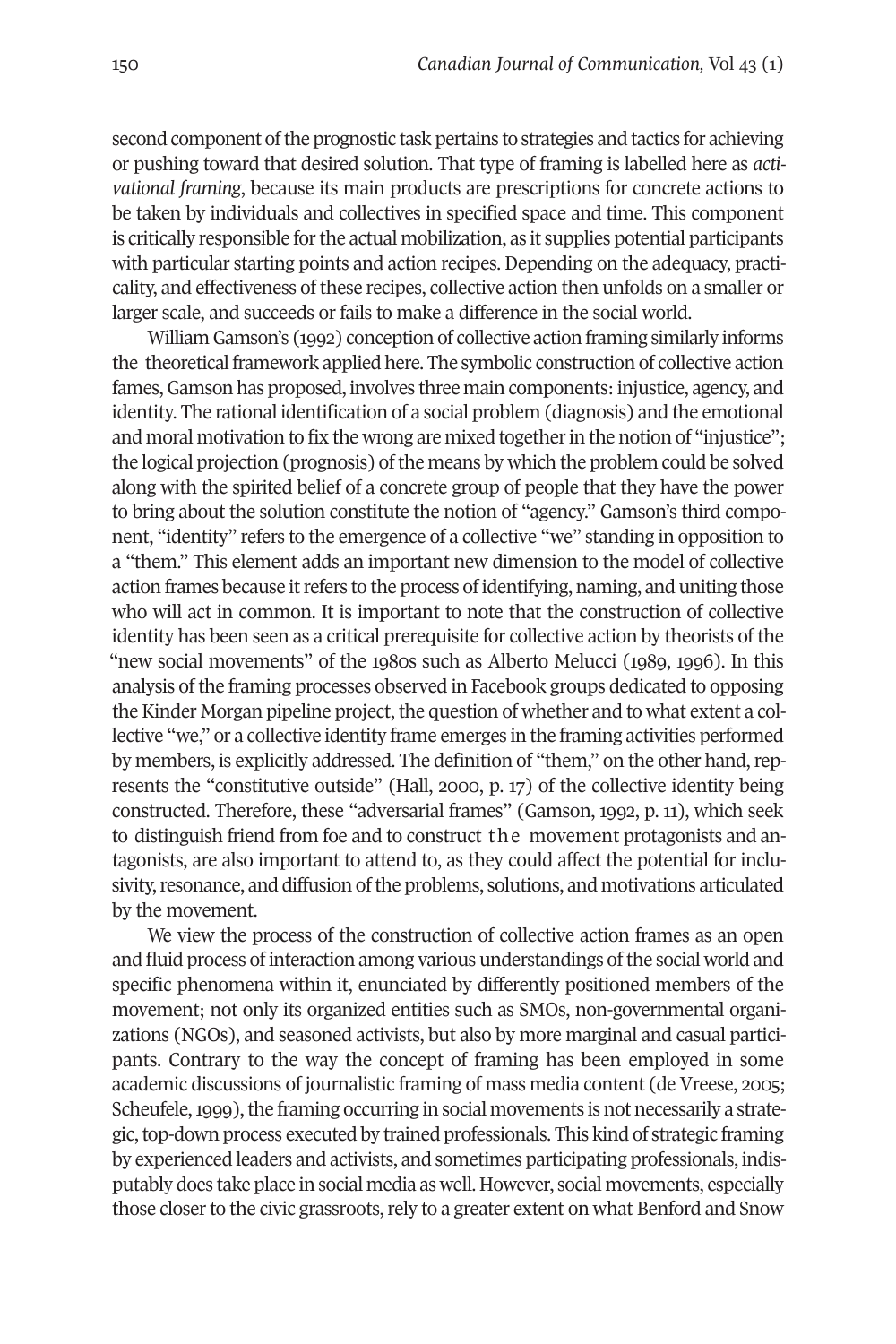second component of the prognostic task pertains to strategies and tactics for achieving or pushing toward that desired solution. That type of framing is labelled here as *activational framing*, because its main products are prescriptions for concrete actions to be taken by individuals and collectives in specified space and time. This component is critically responsible forthe actual mobilization, as it supplies potential participants with particular starting points and action recipes. Depending on the adequacy, practicality, and effectiveness of these recipes, collective action then unfolds on a smaller or larger scale, and succeeds or fails to make a difference in the social world.

William Gamson's (1992) conception of collective action framing similarly informs the theoretical framework applied here. The symbolic construction of collective action fames, Gamson has proposed, involves three main components: injustice, agency, and identity. The rational identification of a social problem (diagnosis) and the emotional and moral motivation to fix the wrong are mixed together in the notion of "injustice"; the logical projection (prognosis) of the means by which the problem could be solved along with the spirited belief of a concrete group of people that they have the power to bring about the solution constitute the notion of "agency." Gamson's third component, "identity" refers to the emergence of a collective "we" standing in opposition to a "them." This element adds an important new dimension to the model of collective action frames because it refers to the process of identifying, naming, and uniting those who will act in common. It is important to note that the construction of collective identity has been seen as a critical prerequisite for collective action by theorists of the "new social movements" of the 1980s such as Alberto Melucci (1989, 1996). In this analysis of the framing processes observed in Facebook groups dedicated to opposing the Kinder Morgan pipeline project, the question of whether and to what extent a collective "we," or a collective identity frame emerges in the framing activities performed by members, is explicitly addressed. The definition of "them," on the other hand, represents the "constitutive outside" (Hall, 2000, p. 17) of the collective identity being constructed. Therefore, these "adversarial frames" (Gamson, 1992, p. 11), which seek to distinguish friend from foe and to construct the movement protagonists and antagonists, are also important to attend to, as they could affect the potential for inclusivity, resonance, and diffusion of the problems, solutions, and motivations articulated by the movement.

We view the process of the construction of collective action frames as an open and fluid process of interaction among various understandings ofthe social world and specific phenomena within it, enunciated by differently positioned members of the movement; not only its organized entities such as SMOs, non-governmental organizations (NGOs), and seasoned activists, but also by more marginal and casual participants. Contrary to the way the concept of framing has been employed in some academic discussions of journalistic framing of mass media content (de Vreese, 2005; Scheufele, 1999), the framing occurring in social movements is not necessarily a strategic,top-down process executed by trained professionals. This kind of strategic framing by experienced leaders and activists, and sometimes participating professionals, indisputably does take place in social media as well. However, social movements, especially those closer to the civic grassroots, rely to a greater extent on what Benford and Snow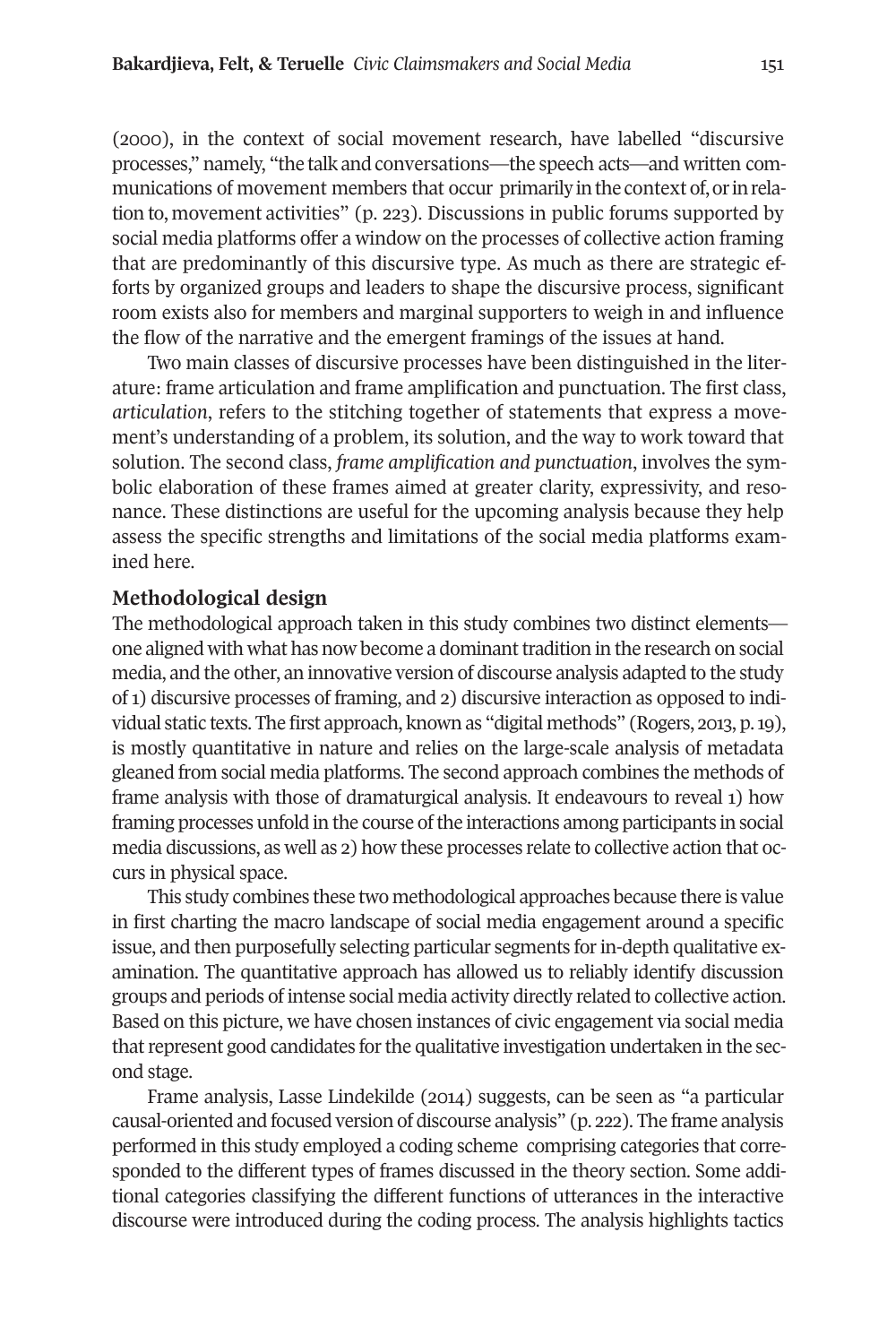(2000), in the context of social movement research, have labelled "discursive processes," namely, "the talkandconversations—the speech acts—and written communications of movement members that occur primarily in the context of, or in relation to, movement activities" (p. 223). Discussions in public forums supported by social media platforms offer a window on the processes of collective action framing that are predominantly of this discursive type. As much as there are strategic efforts by organized groups and leaders to shape the discursive process, significant room exists also for members and marginal supporters to weigh in and influence the flow of the narrative and the emergent framings of the issues at hand.

Two main classes of discursive processes have been distinguished in the literature: frame articulation and frame amplification and punctuation. The first class, *articulation*, refers to the stitching together of statements that express a movement's understanding of a problem, its solution, and the way to work toward that solution. The second class, *frame amplification and punctuation*, involves the symbolic elaboration of these frames aimed at greater clarity, expressivity, and resonance. These distinctions are useful for the upcoming analysis because they help assess the specific strengths and limitations of the social media platforms examined here.

## **Methodological design**

The methodological approach taken in this study combines two distinct elements one aligned with what has now become a dominant tradition in the research on social media, and the other, an innovative version of discourse analysis adapted to the study of 1) discursive processes of framing, and 2) discursive interaction as opposed to individual static texts. The first approach, known as "digital methods" (Rogers, 2013, p.19), is mostly quantitative in nature and relies on the large-scale analysis of metadata gleaned from social media platforms. The second approach combines the methods of frame analysis with those of dramaturgical analysis. It endeavours to reveal 1) how framing processes unfold in the course of the interactions among participants in social media discussions, as well as 2) how these processes relate to collective action that occurs in physical space.

This study combines these two methodological approaches because there is value in first charting the macro landscape of social media engagement around a specific issue, and then purposefully selecting particular segments for in-depth qualitative examination. The quantitative approach has allowed us to reliably identify discussion groups and periods of intense social media activity directly related to collective action. Based on this picture, we have chosen instances of civic engagement via social media that represent good candidates for the qualitative investigation undertaken in the second stage.

Frame analysis, Lasse Lindekilde (2014) suggests, can be seen as "a particular causal-oriented and focused version of discourse analysis" (p. 222). The frame analysis performed in this study employed a coding scheme comprising categories that corresponded to the different types of frames discussed in the theory section. Some additional categories classifying the different functions of utterances in the interactive discourse were introduced during the coding process. The analysis highlights tactics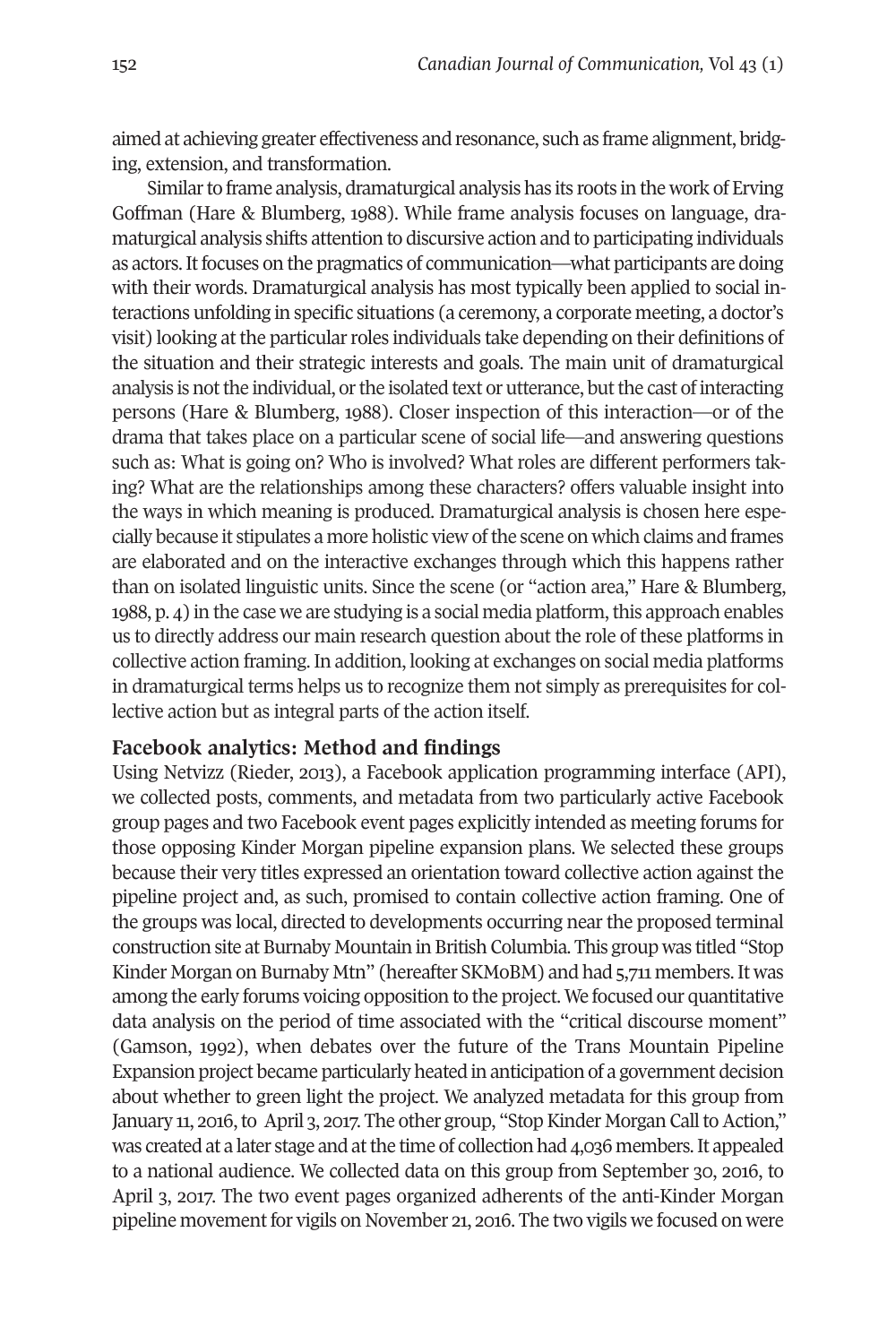aimed at achieving greater effectiveness and resonance, such as frame alignment, bridging, extension, and transformation.

Similar to frame analysis, dramaturgical analysis has its roots in the work of Erving Goffman (Hare & Blumberg, 1988). While frame analysis focuses on language, dramaturgical analysis shifts attention to discursive action and to participating individuals as actors. It focuses on the pragmatics of communication—what participants are doing with their words. Dramaturgical analysis has most typically been applied to social interactions unfolding in specific situations (a ceremony, a corporate meeting, a doctor's visit) looking at the particularroles individuals take depending on their definitions of the situation and their strategic interests and goals. The main unit of dramaturgical analysis is not the individual, or the isolated text or utterance, but the cast of interacting persons (Hare & Blumberg, 1988). Closer inspection of this interaction—or of the drama that takes place on a particular scene of social life—and answering questions such as: What is going on? Who is involved? What roles are different performers taking? What are the relationships among these characters? offers valuable insight into the ways in which meaning is produced. Dramaturgical analysis is chosen here especially because it stipulates a more holistic view of the scene on which claims and frames are elaborated and on the interactive exchanges through which this happens rather than on isolated linguistic units. Since the scene (or "action area," Hare & Blumberg,  $1988, p. 4$ ) in the case we are studying is a social media platform, this approach enables us to directly address our main research question about the role of these platforms in collective action framing. In addition, looking at exchanges on social media platforms in dramaturgical terms helps us to recognize them not simply as prerequisites for collective action but as integral parts of the action itself.

#### **Facebook analytics: Method and findings**

Using Netvizz (Rieder, 2013), a Facebook application programming interface (API), we collected posts, comments, and metadata from two particularly active Facebook group pages and two Facebook event pages explicitly intended as meeting forums for those opposing Kinder Morgan pipeline expansion plans. We selected these groups because their very titles expressed an orientation toward collective action against the pipeline project and, as such, promised to contain collective action framing. One of the groups was local, directed to developments occurring nearthe proposed terminal construction site at Burnaby Mountain in British Columbia. This group was titled "Stop Kinder Morgan on Burnaby Mtn" (hereafter SKMoBM) and had 5,711 members. It was among the early forums voicing opposition to the project. We focused our quantitative data analysis on the period of time associated with the "critical discourse moment" (Gamson, 1992), when debates over the future of the Trans Mountain Pipeline Expansion project became particularly heated in anticipation of a government decision about whether to green light the project. We analyzed metadata for this group from January 11, 2016, to April 3, 2017. The other group, "Stop Kinder Morgan Call to Action," was created at a later stage and at the time of collection had 4,036 members. It appealed to a national audience. We collected data on this group from September 30, 2016, to April 3, 2017. The two event pages organized adherents of the anti-Kinder Morgan pipeline movement for vigils on November 21, 2016. The two vigils we focused on were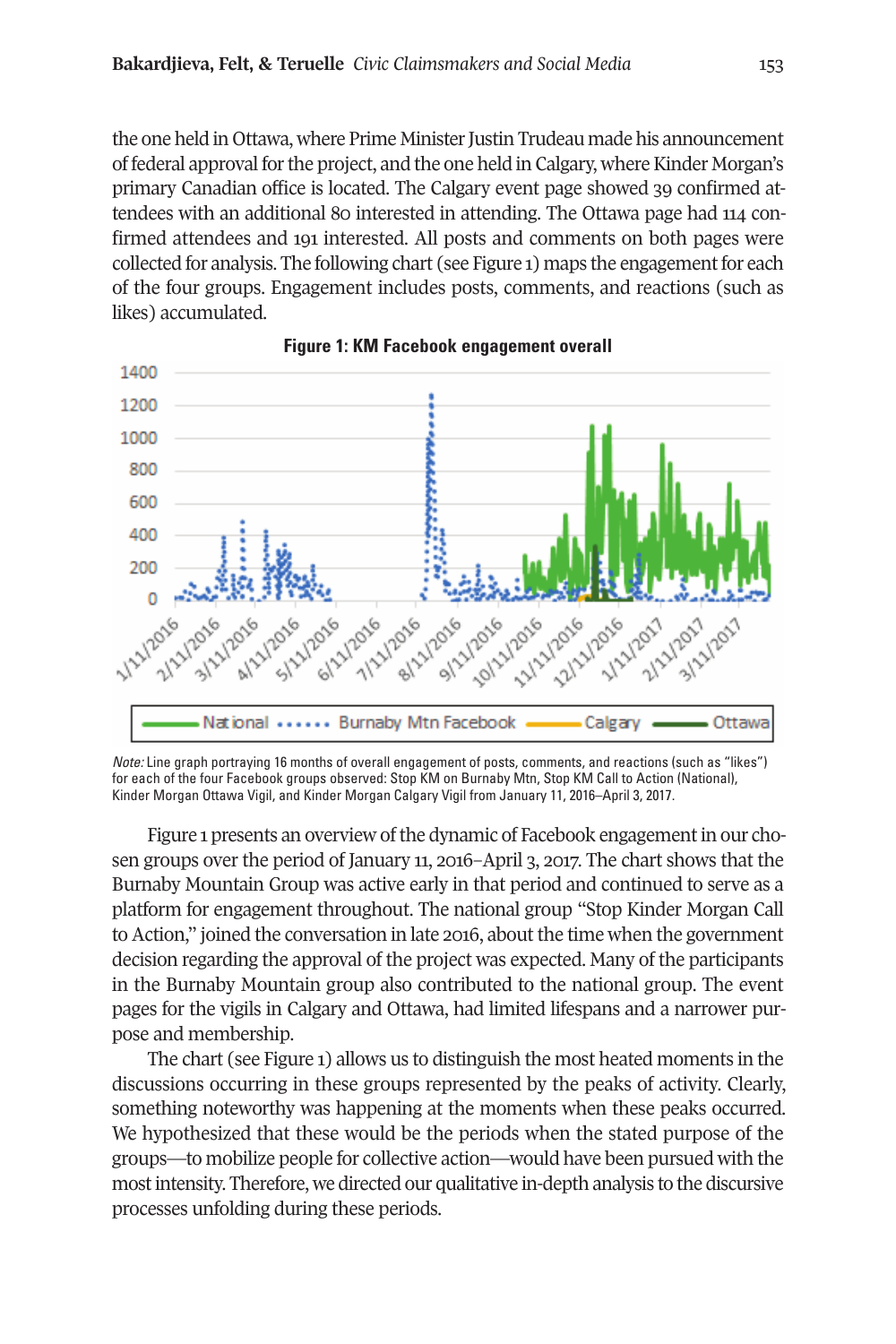the one held in Ottawa, where Prime MinisterJustin Trudeau made his announcement of federal approval for the project, and the one held in Calgary, where Kinder Morgan's primary Canadian office is located. The Calgary event page showed 39 confirmed attendees with an additional 80 interested in attending. The Ottawa page had 114 confirmed attendees and 191 interested. All posts and comments on both pages were collected for analysis. The following chart (see Figure 1) maps the engagement for each of the four groups. Engagement includes posts, comments, and reactions (such as likes) accumulated.



#### **Figure 1: KM Facebook engagement overall**

*Note:* Line graph portraying 16 months of overall engagement of posts, comments, and reactions (such as "likes") for each of the four Facebook groups observed: Stop KM on Burnaby Mtn, Stop KM Call to Action (National), Kinder Morgan Ottawa Vigil, and Kinder Morgan Calgary Vigil from January 11, 2016–April 3, 2017.

Figure 1 presents an overview of the dynamic of Facebook engagement in our chosen groups over the period of January 11, 2016–April 3, 2017. The chart shows that the Burnaby Mountain Group was active early in that period and continued to serve as a platform for engagement throughout. The national group "Stop Kinder Morgan Call toAction," joined the conversation in late 2016, about the time when the government decision regarding the approval of the project was expected. Many of the participants in the Burnaby Mountain group also contributed to the national group. The event pages for the vigils in Calgary and Ottawa, had limited lifespans and a narrower purpose and membership.

The chart (see Figure 1) allows us to distinguish the most heated moments in the discussions occurring in these groups represented by the peaks of activity. Clearly, something noteworthy was happening at the moments when these peaks occurred. We hypothesized that these would be the periods when the stated purpose of the groups—to mobilize people for collective action—would have been pursued with the mostintensity. Therefore, we directed our qualitative in-depth analysis to the discursive processes unfolding during these periods.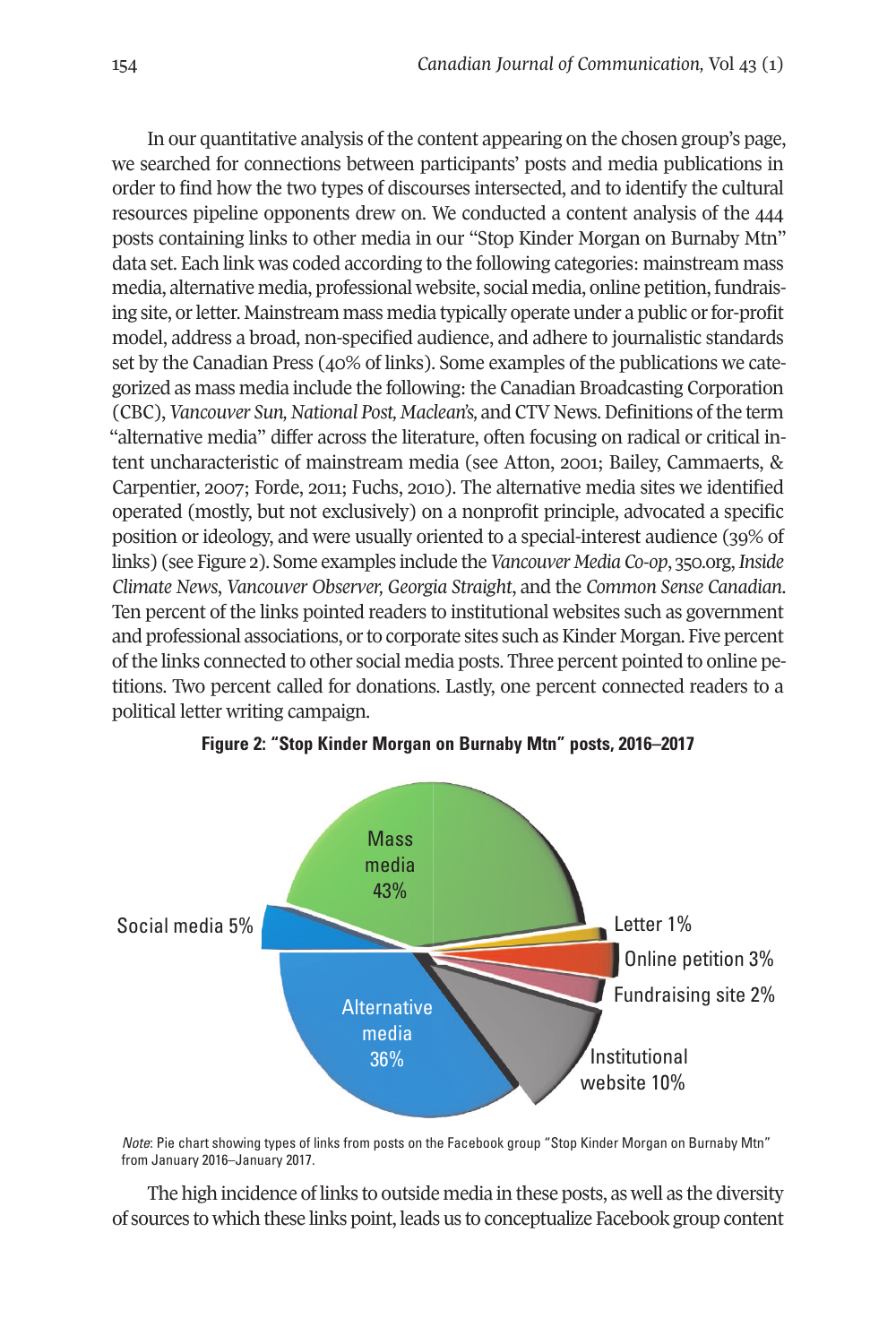In our quantitative analysis of the content appearing on the chosen group's page, we searched for connections between participants' posts and media publications in order to find how the two types of discourses intersected, and to identify the cultural resources pipeline opponents drew on. We conducted a content analysis of the 444 posts containing links to other media in our "Stop Kinder Morgan on Burnaby Mtn" data set. Each link was coded according to the following categories: mainstream mass media, alternative media, professional website, social media, online petition, fundraising site, or letter. Mainstream mass media typically operate under a public or for-profit model, address a broad, non-specified audience, and adhere to journalistic standards set by the Canadian Press (40% of links). Some examples of the publications we categorized as mass media include the following: the Canadian Broadcasting Corporation (CBC), *Vancouver Sun,National Post, Maclean's,* and CTV News.Definitions ofthe term "alternative media" differ across the literature, often focusing on radical or critical intent uncharacteristic of mainstream media (see Atton, 2001; Bailey, Cammaerts, & Carpentier, 2007; Forde, 2011; Fuchs, 2010). The alternative media sites we identified operated (mostly, but not exclusively) on a nonprofit principle, advocated a specific position or ideology, and were usually oriented to a special-interest audience (39% of links) (see Figure 2). Some examples include the*Vancouver Media Co-op*, 350.org,*Inside Climate News*, *Vancouver Observer, Georgia Straight*, and the *Common Sense Canadian*. Ten percent of the links pointed readers to institutional websites such as government and professional associations, or to corporate sites such as Kinder Morgan. Five percent ofthe links connected to other social media posts. Three percent pointed to online petitions. Two percent called for donations. Lastly, one percent connected readers to a political letter writing campaign.



**Figure 2: "Stop Kinder Morgan on Burnaby Mtn" posts, 2016–2017**

The high incidence of links to outside media in these posts, as well as the diversity of sources to which these links point, leads us to conceptualize Facebook group content

*Note*: Pie chart showing types of links from posts on the Facebook group "Stop Kinder Morgan on Burnaby Mtn" from January 2016–January 2017.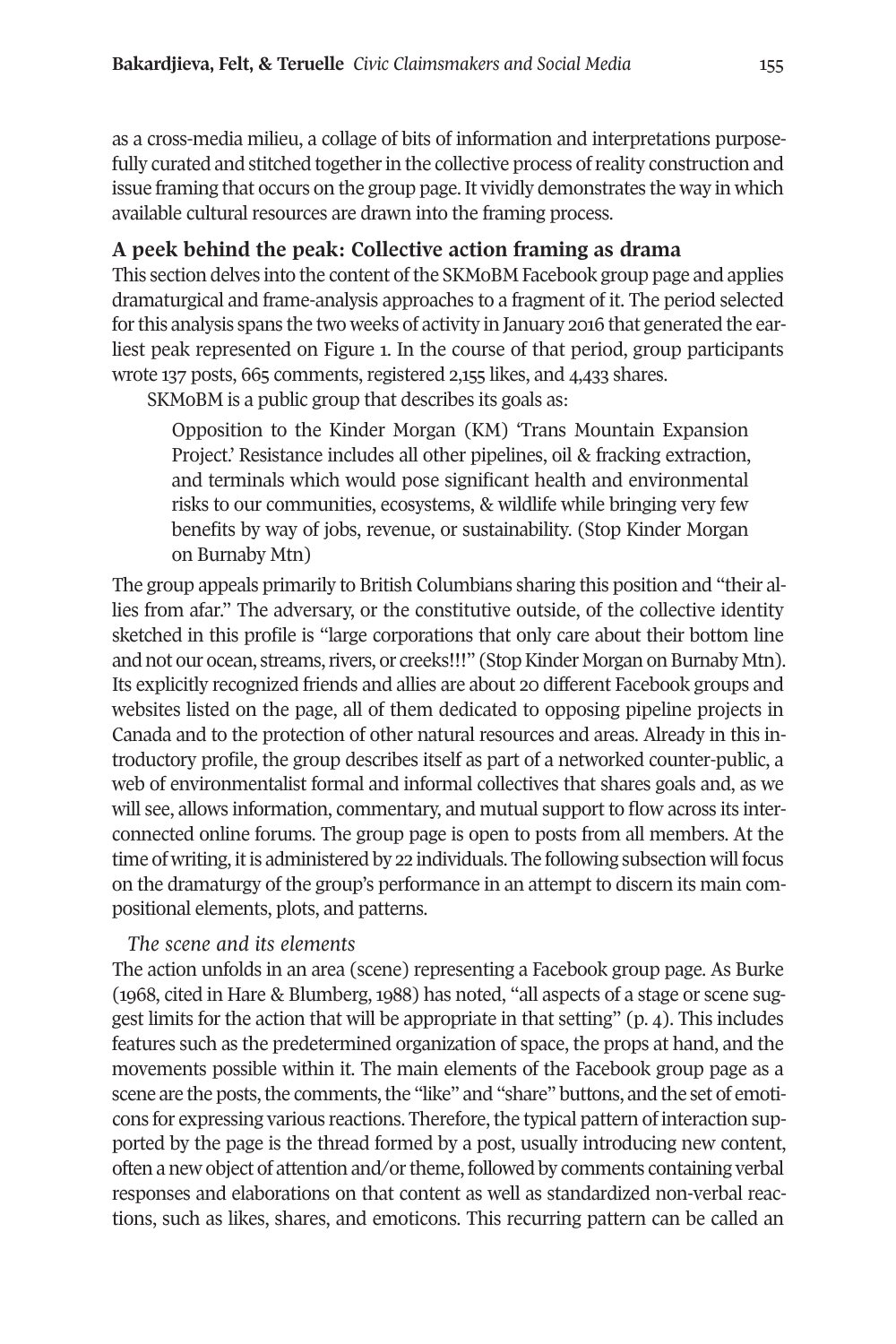as a cross-media milieu, a collage of bits of information and interpretations purposefully curated and stitched together in the collective process of reality construction and issue framing that occurs on the group page. It vividly demonstrates the way in which available cultural resources are drawn into the framing process.

## **A peek behind the peak: Collective action framing as drama**

This section delves into the content of the SKMoBM Facebook group page and applies dramaturgical and frame-analysis approaches to a fragment of it. The period selected forthis analysis spans the two weeks of activity in January 2016 that generated the earliest peak represented on Figure 1. In the course of that period, group participants wrote 137 posts, 665 comments, registered 2,155 likes, and 4,433 shares.

SKMoBM is a public group that describes its goals as:

Opposition to the Kinder Morgan (KM) 'Trans Mountain Expansion Project.' Resistance includes all other pipelines, oil & fracking extraction, and terminals which would pose significant health and environmental risks to our communities, ecosystems, & wildlife while bringing very few benefits by way of jobs, revenue, or sustainability. (Stop Kinder Morgan on Burnaby Mtn)

The group appeals primarily to British Columbians sharing this position and "their allies from afar." The adversary, or the constitutive outside, of the collective identity sketched in this profile is "large corporations that only care about their bottom line and not our ocean, streams, rivers, or creeks!!!" (Stop Kinder Morgan on Burnaby Mtn). Its explicitly recognized friends and allies are about 20 different Facebook groups and websites listed on the page, all of them dedicated to opposing pipeline projects in Canada and to the protection of other natural resources and areas. Already in this introductory profile, the group describes itself as part of a networked counter-public, a web of environmentalist formal and informal collectives that shares goals and, as we will see, allows information, commentary, and mutual support to flow across its interconnected online forums. The group page is open to posts from all members. At the time of writing, it is administered by 22 individuals. The following subsection will focus on the dramaturgy of the group's performance in an attempt to discern its main compositional elements, plots, and patterns.

## *The scene and its elements*

The action unfolds in an area (scene) representing a Facebook group page. As Burke (1968, cited in Hare & Blumberg, 1988) has noted, "all aspects of a stage or scene suggest limits for the action that will be appropriate in that setting" (p. 4). This includes features such as the predetermined organization of space, the props at hand, and the movements possible within it. The main elements of the Facebook group page as a scene are the posts, the comments, the "like" and "share" buttons, and the set of emoticons for expressing various reactions. Therefore, the typical pattern of interaction supported by the page is the thread formed by a post, usually introducing new content, often a new object of attention and/ortheme,followed by comments containing verbal responses and elaborations on that content as well as standardized non-verbal reactions, such as likes, shares, and emoticons. This recurring pattern can be called an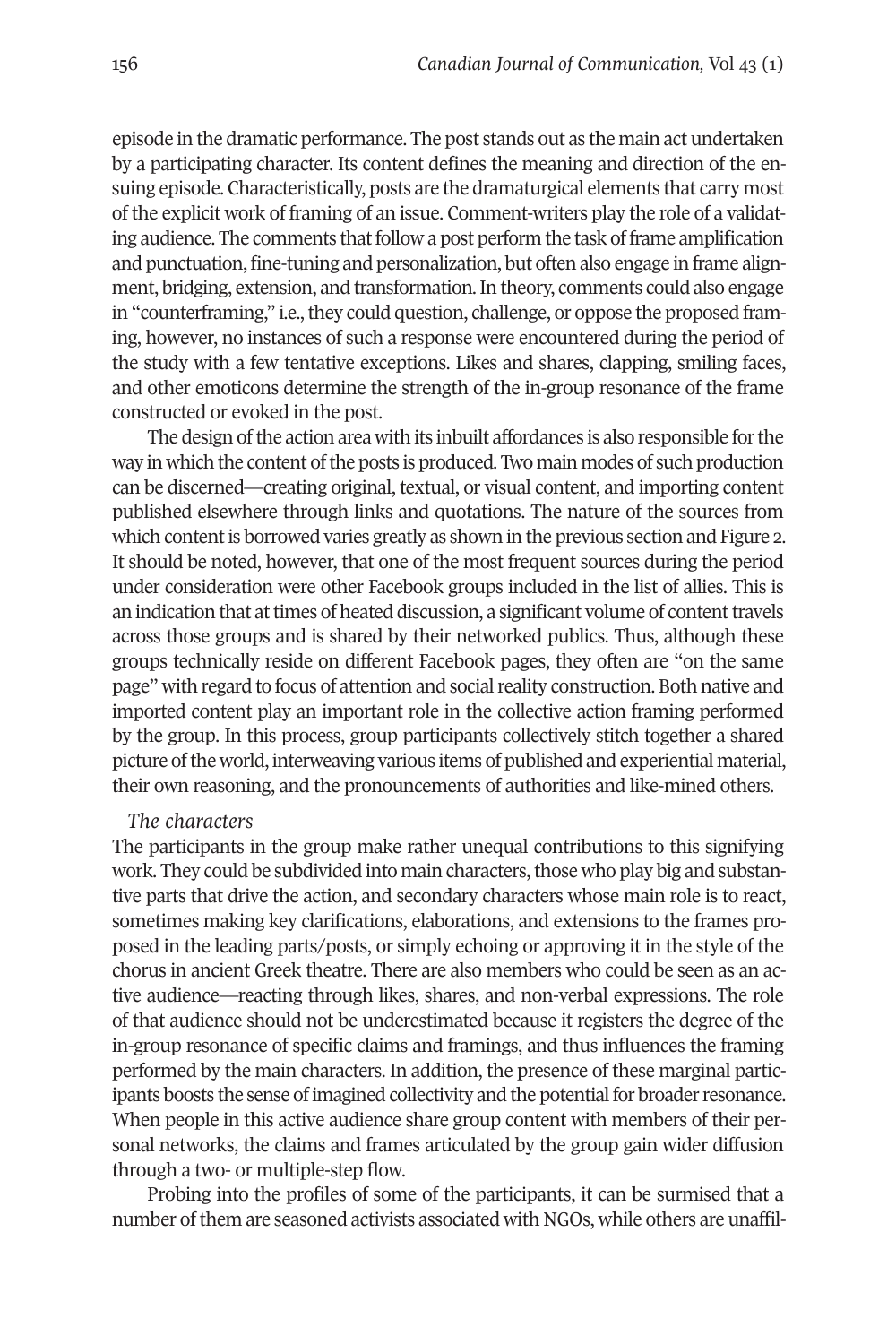episode in the dramatic performance. The post stands out as the main act undertaken by a participating character. Its content defines the meaning and direction of the ensuing episode. Characteristically, posts are the dramaturgical elements that carry most of the explicit work of framing of an issue. Comment-writers play the role of a validating audience. The comments that follow a post perform the task of frame amplification and punctuation, fine-tuning and personalization, but often also engage in frame alignment, bridging, extension, and transformation.In theory, comments could also engage in "counterframing," i.e., they could question, challenge, or oppose the proposed framing, however, no instances of such a response were encountered during the period of the study with a few tentative exceptions. Likes and shares, clapping, smiling faces, and other emoticons determine the strength of the in-group resonance of the frame constructed or evoked in the post.

The design of the action area with its inbuilt affordances is also responsible for the way in which the content of the posts is produced. Two main modes of such production can be discerned—creating original, textual, or visual content, and importing content published elsewhere through links and quotations. The nature of the sources from which content is borrowed varies greatly as shown in the previous section and Figure 2. It should be noted, however, that one of the most frequent sources during the period under consideration were other Facebook groups included in the list of allies. This is an indication that attimes of heated discussion, a significant volume of contenttravels across those groups and is shared by their networked publics. Thus, although these groups technically reside on different Facebook pages, they often are "on the same page" with regard to focus of attention and social reality construction. Both native and imported content play an important role in the collective action framing performed by the group. In this process, group participants collectively stitch together a shared picture of the world, interweaving various items of published and experiential material, their own reasoning, and the pronouncements of authorities and like-mined others.

#### *The characters*

The participants in the group make rather unequal contributions to this signifying work. They could be subdivided into main characters, those who play big and substantive parts that drive the action, and secondary characters whose main role is to react, sometimes making key clarifications, elaborations, and extensions to the frames proposed in the leading parts/posts, or simply echoing or approving it in the style of the chorus in ancient Greek theatre. There are also members who could be seen as an active audience—reacting through likes, shares, and non-verbal expressions. The role of that audience should not be underestimated because it registers the degree of the in-group resonance of specific claims and framings, and thus influences the framing performed by the main characters. In addition, the presence of these marginal participants boosts the sense of imagined collectivity and the potential for broader resonance. When people in this active audience share group content with members of their personal networks, the claims and frames articulated by the group gain wider diffusion through a two- or multiple-step flow.

Probing into the profiles of some of the participants, it can be surmised that a number ofthem are seasoned activists associated with NGOs, while others are unaffil-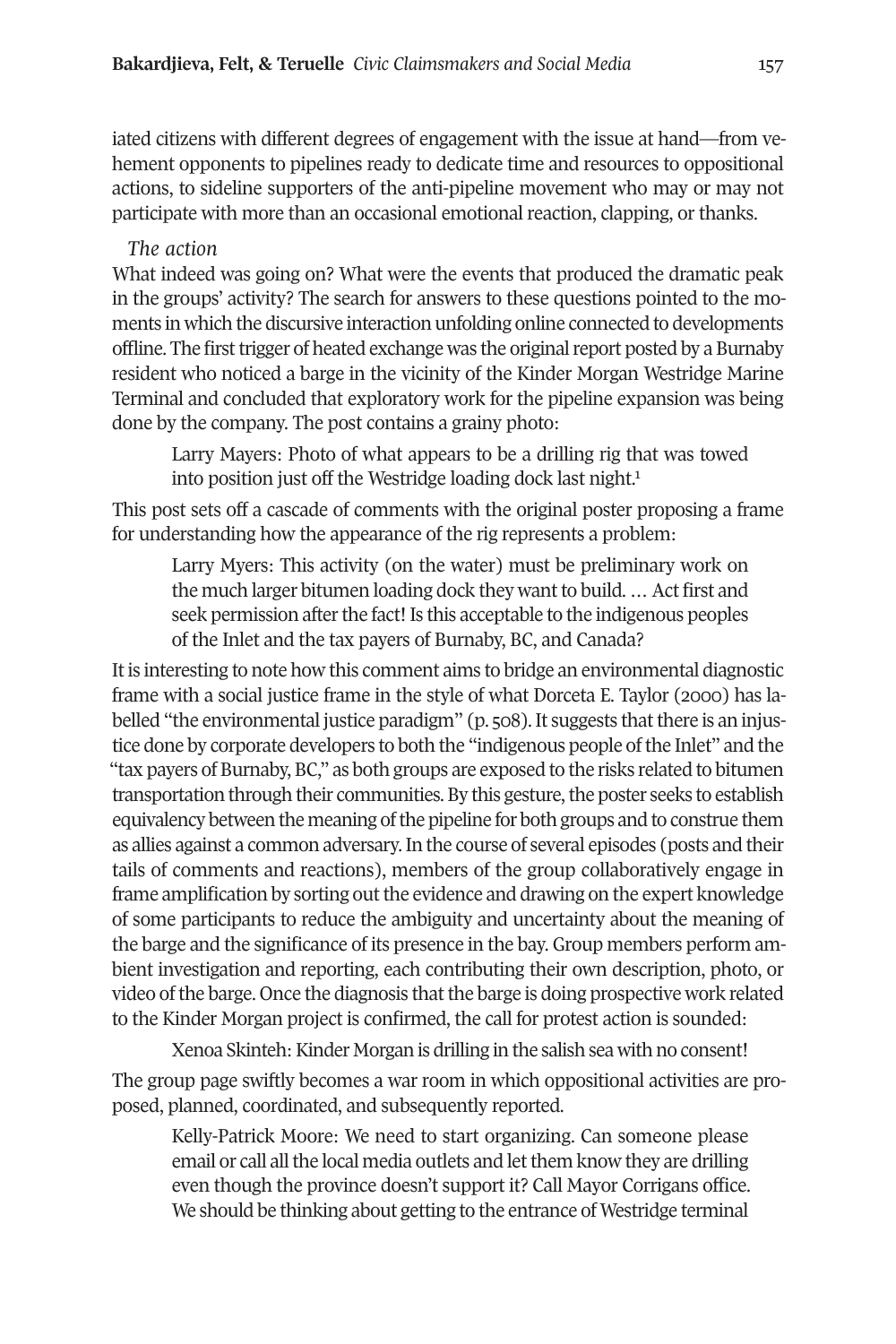iated citizens with different degrees of engagement with the issue at hand—from vehement opponents to pipelines ready to dedicate time and resources to oppositional actions, to sideline supporters of the anti-pipeline movement who may or may not participate with more than an occasional emotional reaction, clapping, or thanks.

## *The action*

What indeed was going on? What were the events that produced the dramatic peak in the groups' activity? The search for answers to these questions pointed to the moments in which the discursive interaction unfolding online connected to developments offline. The first trigger of heated exchange was the original report posted by a Burnaby resident who noticed a barge in the vicinity of the Kinder Morgan Westridge Marine Terminal and concluded that exploratory work for the pipeline expansion was being done by the company. The post contains a grainy photo:

Larry Mayers: Photo of what appears to be a drilling rig that was towed into position just off the Westridge loading dock last night. 1

This post sets off a cascade of comments with the original poster proposing a frame for understanding how the appearance of the rig represents a problem:

Larry Myers: This activity (on the water) must be preliminary work on the much larger bitumen loading dock they want to build. ... Act first and seek permission after the fact! Is this acceptable to the indigenous peoples of the Inlet and the tax payers of Burnaby, BC, and Canada?

Itis interesting to note how this comment aims to bridge an environmental diagnostic frame with a social justice frame in the style of what Dorceta E. Taylor (2000) has labelled "the environmental justice paradigm"  $(p, 508)$ . It suggests that there is an injustice done by corporate developers to both the "indigenous people ofthe Inlet" and the "tax payers of Burnaby, BC," as both groups are exposed to the risks related to bitumen transportation through their communities. By this gesture, the poster seeks to establish equivalency between the meaning of the pipeline for both groups and to construe them as allies against a common adversary.In the course of several episodes (posts and their tails of comments and reactions), members of the group collaboratively engage in frame amplification by sorting out the evidence and drawing on the expert knowledge of some participants to reduce the ambiguity and uncertainty about the meaning of the barge and the significance of its presence in the bay. Group members perform ambient investigation and reporting, each contributing their own description, photo, or video of the barge. Once the diagnosis that the barge is doing prospective work related to the Kinder Morgan project is confirmed, the call for protest action is sounded:

Xenoa Skinteh: Kinder Morgan is drilling in the salish sea with no consent! The group page swiftly becomes a war room in which oppositional activities are proposed, planned, coordinated, and subsequently reported.

Kelly-Patrick Moore: We need to start organizing. Can someone please email or call all the local media outlets and let them know they are drilling even though the province doesn't support it? Call Mayor Corrigans office. We should be thinking about getting to the entrance of Westridge terminal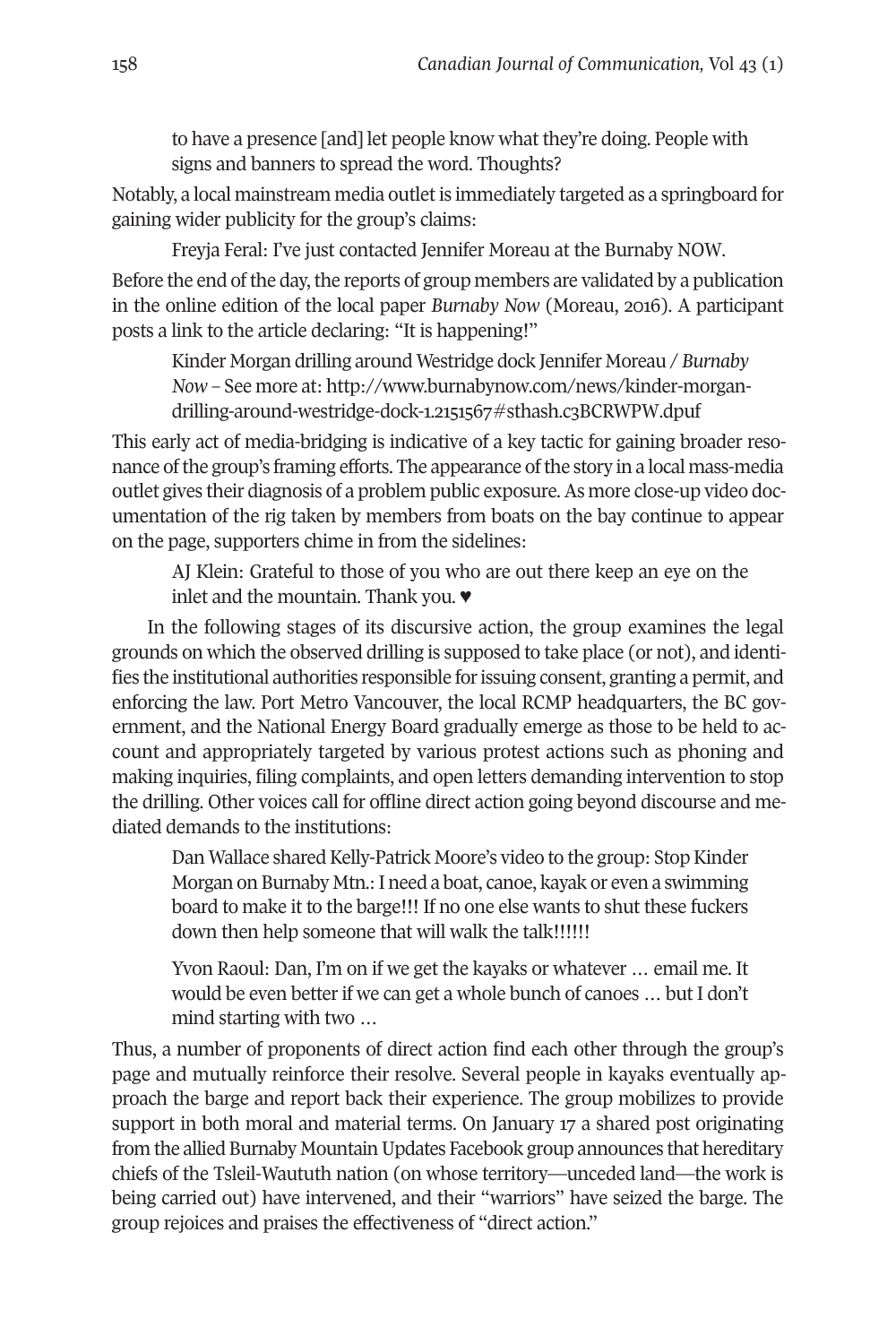to have a presence [and] let people know what they're doing. People with signs and banners to spread the word. Thoughts?

Notably, a local mainstream media outletis immediately targeted as a springboard for gaining wider publicity for the group's claims:

Freyja Feral: I've just contacted Jennifer Moreau at the Burnaby NOW.

Before the end of the day, the reports of group members are validated by a publication in the online edition of the local paper *Burnaby Now* (Moreau, 2016). A participant posts a link to the article declaring: "It is happening!"

Kinder Morgan drilling around Westridge dock Jennifer Moreau / *Burnaby Now* – See more at: [http://www.burnabynow.com/news/kinder-morgan](http://www.burnabynow.com/news/kinder-morgan-drilling-around-westridge-dock-1.2151567#sthash.c3BCRWPW.dpuf)[drilling-around-westridge-dock-1.2151567#sthash.c3BCRWPW.dpuf](http://www.burnabynow.com/news/kinder-morgan-drilling-around-westridge-dock-1.2151567#sthash.c3BCRWPW.dpuf)

This early act of media-bridging is indicative of a key tactic for gaining broader resonance ofthe group's framing efforts. The appearance ofthe story in a local mass-media outlet gives their diagnosis of a problem public exposure.As more close-up video documentation of the rig taken by members from boats on the bay continue to appear on the page, supporters chime in from the sidelines:

AJ Klein: Grateful to those of you who are out there keep an eye on the inlet and the mountain. Thank you. ♥

In the following stages of its discursive action, the group examines the legal grounds on which the observed drilling is supposed to take place (or not), and identifies the institutional authorities responsible forissuing consent, granting a permit, and enforcing the law. Port Metro Vancouver, the local RCMP headquarters, the BC government, and the National Energy Board gradually emerge as those to be held to account and appropriately targeted by various protest actions such as phoning and making inquiries, filing complaints, and open letters demanding intervention to stop the drilling. Other voices call for offline direct action going beyond discourse and mediated demands to the institutions:

Dan Wallace shared Kelly-Patrick Moore's video to the group: Stop Kinder Morgan on Burnaby Mtn.:I need a boat, canoe, kayak or even a swimming board to make it to the barge!!! If no one else wants to shut these fuckers down then help someone that will walk the talk!!!!!!

Yvon Raoul: Dan, I'm on if we get the kayaks or whatever … email me. It would be even better if we can get a whole bunch of canoes ... but I don't mind starting with two …

Thus, a number of proponents of direct action find each other through the group's page and mutually reinforce their resolve. Several people in kayaks eventually approach the barge and report back their experience. The group mobilizes to provide support in both moral and material terms. On January 17 a shared post originating from the allied Burnaby Mountain Updates Facebook group announces that hereditary chiefs of the Tsleil-Waututh nation (on whose territory—unceded land—the work is being carried out) have intervened, and their "warriors" have seized the barge. The group rejoices and praises the effectiveness of "direct action."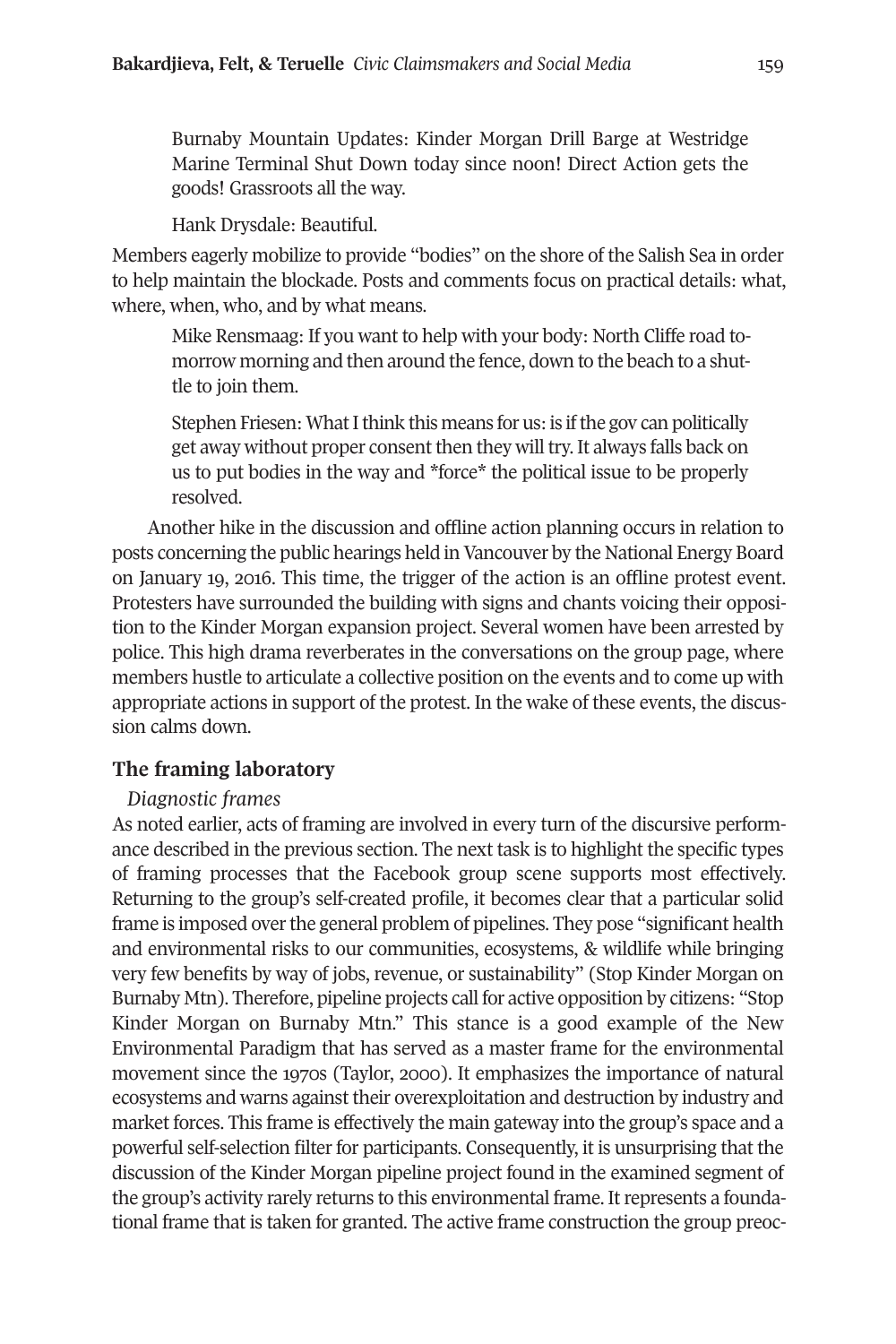Burnaby [Mountain](https://www.facebook.com/burnabymountain/?fref=nf) Updates: Kinder Morgan Drill Barge at Westridge Marine Terminal Shut Down today since noon! Direct Action gets the goods! Grassroots all the way.

Hank Drysdale: Beautiful.

Members eagerly mobilize to provide "bodies" on the shore of the Salish Sea in order to help maintain the blockade. Posts and comments focus on practical details: what, where, when, who, and by what means.

Mike Rensmaag: If you want to help with your body: North Cliffe road tomorrow morning and then around the fence, down to the beach to a shuttle to join them.

Stephen Friesen: What I think this means for us: is if the gov can politically get away without proper consent then they will try. It always falls back on us to put bodies in the way and \*force\* the political issue to be properly resolved.

Another hike in the discussion and offline action planning occurs in relation to posts concerning the public hearings held inVancouver by the National Energy Board on January 19, 2016. This time, the trigger of the action is an offline protest event. Protesters have surrounded the building with signs and chants voicing their opposition to the Kinder Morgan expansion project. Several women have been arrested by police. This high drama reverberates in the conversations on the group page, where members hustle to articulate a collective position on the events and to come up with appropriate actions in support of the protest. In the wake of these events, the discussion calms down.

## **The framing laboratory**

## *Diagnostic frames*

As noted earlier, acts of framing are involved in every turn of the discursive performance described in the previous section. The next task is to highlight the specific types of framing processes that the Facebook group scene supports most effectively. Returning to the group's self-created profile, it becomes clear that a particular solid frame is imposed overthe general problem of pipelines. They pose "significant health and environmental risks to our communities, ecosystems, & wildlife while bringing very few benefits by way of jobs, revenue, or sustainability" (Stop Kinder Morgan on Burnaby Mtn). Therefore, pipeline projects call for active opposition by citizens: "Stop Kinder Morgan on Burnaby Mtn." This stance is a good example of the New Environmental Paradigm that has served as a master frame for the environmental movement since the 1970s (Taylor, 2000). It emphasizes the importance of natural ecosystems and warns against their overexploitation and destruction by industry and market forces. This frame is effectively the main gateway into the group's space and a powerful self-selection filter for participants. Consequently, it is unsurprising that the discussion of the Kinder Morgan pipeline project found in the examined segment of the group's activity rarely returns to this environmental frame. It represents a foundational frame that is taken for granted. The active frame construction the group preoc-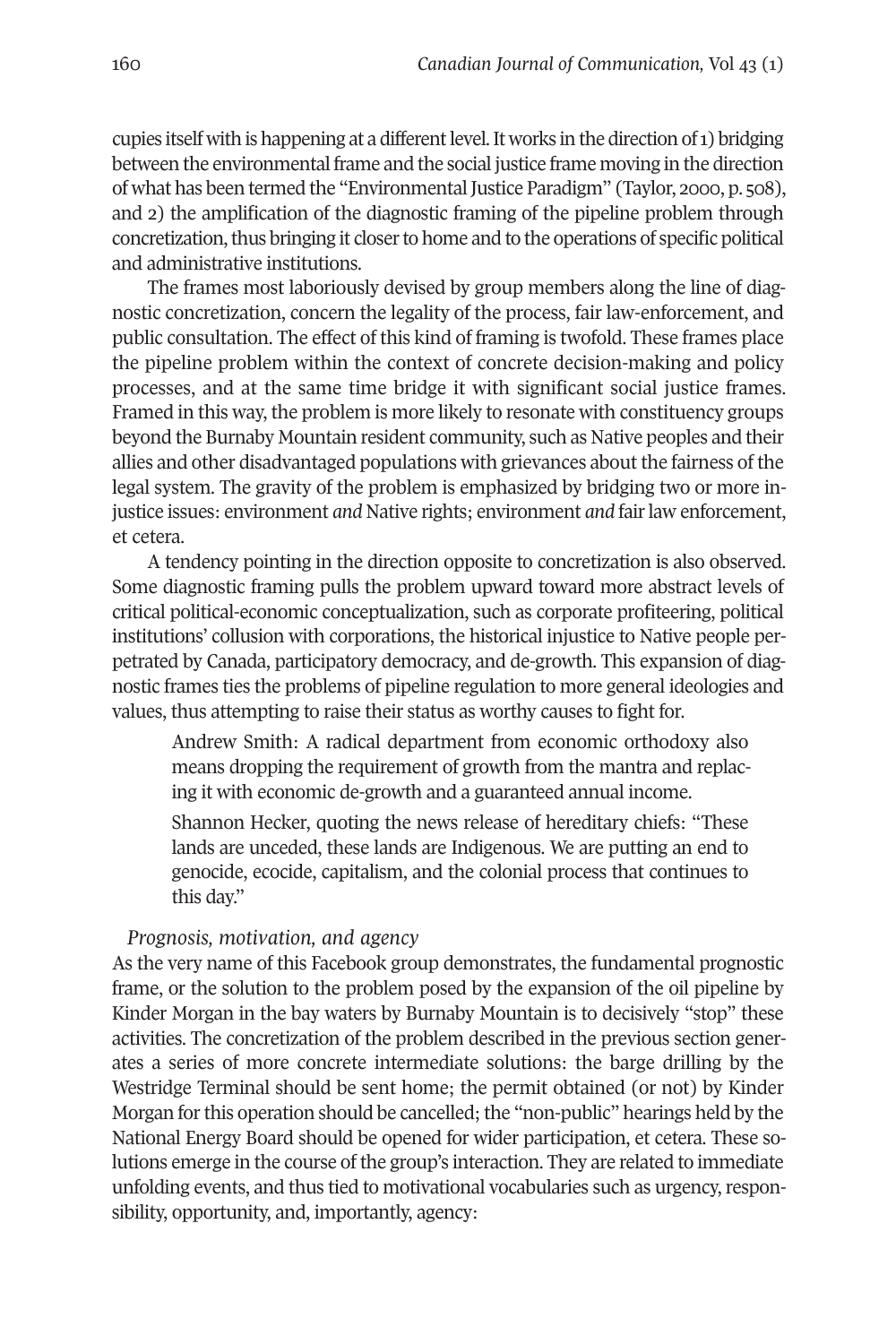cupies itself with is happening at a different level. It works in the direction of  $1$ ) bridging between the environmental frame and the social justice frame moving in the direction of what has been termed the "EnvironmentalJustice Paradigm" (Taylor, 2000, p. 508), and 2) the amplification of the diagnostic framing of the pipeline problem through concretization, thus bringing it closer to home and to the operations of specific political and administrative institutions.

The frames most laboriously devised by group members along the line of diagnostic concretization, concern the legality of the process, fair law-enforcement, and public consultation. The effect of this kind of framing is twofold. These frames place the pipeline problem within the context of concrete decision-making and policy processes, and at the same time bridge it with significant social justice frames. Framed in this way, the problem is more likely to resonate with constituency groups beyond the Burnaby Mountain resident community, such as Native peoples and their allies and other disadvantaged populations with grievances about the fairness of the legal system. The gravity of the problem is emphasized by bridging two or more injustice issues: environment *and* Native rights; environment *and* fair law enforcement, et cetera.

A tendency pointing in the direction opposite to concretization is also observed. Some diagnostic framing pulls the problem upward toward more abstract levels of critical political-economic conceptualization, such as corporate profiteering, political institutions' collusion with corporations, the historical injustice to Native people perpetrated by Canada, participatory democracy, and de-growth. This expansion of diagnostic frames ties the problems of pipeline regulation to more general ideologies and values, thus attempting to raise their status as worthy causes to fight for.

Andrew Smith: A radical department from economic orthodoxy also means dropping the requirement of growth from the mantra and replacing it with economic de-growth and a guaranteed annual income.

Shannon Hecker, quoting the news release of hereditary chiefs: "These lands are unceded, these lands are Indigenous. We are putting an end to genocide, ecocide, capitalism, and the colonial process that continues to this day."

#### *Prognosis, motivation, and agency*

As the very name of this Facebook group demonstrates, the fundamental prognostic frame, or the solution to the problem posed by the expansion of the oil pipeline by Kinder Morgan in the bay waters by Burnaby Mountain is to decisively "stop" these activities. The concretization of the problem described in the previous section generates a series of more concrete intermediate solutions: the barge drilling by the Westridge Terminal should be sent home; the permit obtained (or not) by Kinder Morgan forthis operation should be cancelled; the "non-public" hearings held by the National Energy Board should be opened for wider participation, et cetera. These solutions emerge in the course of the group's interaction. They are related to immediate unfolding events, and thus tied to motivational vocabularies such as urgency, responsibility, opportunity, and, importantly, agency: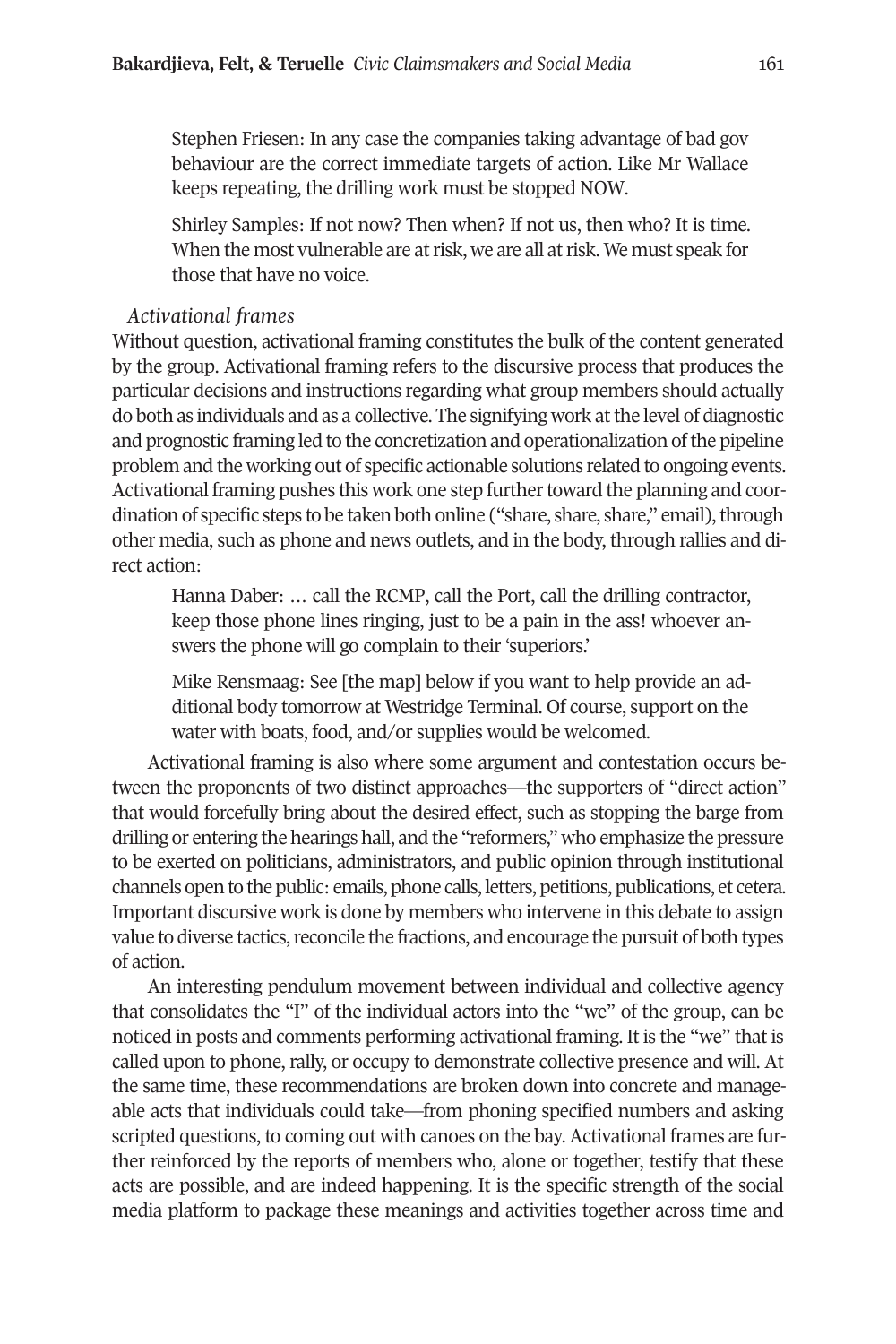Stephen Friesen: In any case the companies taking advantage of bad gov behaviour are the correct immediate targets of action. Like Mr Wallace keeps repeating, the drilling work must be stopped NOW.

Shirley Samples: If not now? Then when? If not us, then who? It is time. When the most vulnerable are at risk, we are all at risk. We must speak for those that have no voice.

## *Activational frames*

Without question, activational framing constitutes the bulk of the content generated by the group. Activational framing refers to the discursive process that produces the particular decisions and instructions regarding what group members should actually do both as individuals and as a collective. The signifying work at the level of diagnostic and prognostic framing led to the concretization and operationalization ofthe pipeline problem and the working out of specific actionable solutions related to ongoing events. Activational framing pushes this work one step further toward the planning and coordination of specific steps to be taken both online ("share, share, share," email), through other media, such as phone and news outlets, and in the body, through rallies and direct action:

Hanna Daber: … call the RCMP, call the Port, call the drilling contractor, keep those phone lines ringing, just to be a pain in the ass! whoever answers the phone will go complain to their 'superiors.'

Mike Rensmaag: See [the map] below if you want to help provide an additional body tomorrow at Westridge Terminal. Of course, support on the water with boats, food, and/or supplies would be welcomed.

Activational framing is also where some argument and contestation occurs between the proponents of two distinct approaches—the supporters of "direct action" that would forcefully bring about the desired effect, such as stopping the barge from drilling or entering the hearings hall, and the "reformers," who emphasize the pressure to be exerted on politicians, administrators, and public opinion through institutional channels opento the public: emails, phone calls, letters, petitions, publications, et cetera. Important discursive work is done by members who intervene in this debate to assign value to diverse tactics, reconcile the fractions, and encourage the pursuit of both types of action.

An interesting pendulum movement between individual and collective agency that consolidates the "I" of the individual actors into the "we" of the group, can be noticed in posts and comments performing activational framing. It is the "we" that is called upon to phone, rally, or occupy to demonstrate collective presence and will. At the same time, these recommendations are broken down into concrete and manageable acts that individuals could take—from phoning specified numbers and asking scripted questions, to coming out with canoes on the bay. Activational frames are further reinforced by the reports of members who, alone or together, testify that these acts are possible, and are indeed happening. It is the specific strength of the social media platform to package these meanings and activities together across time and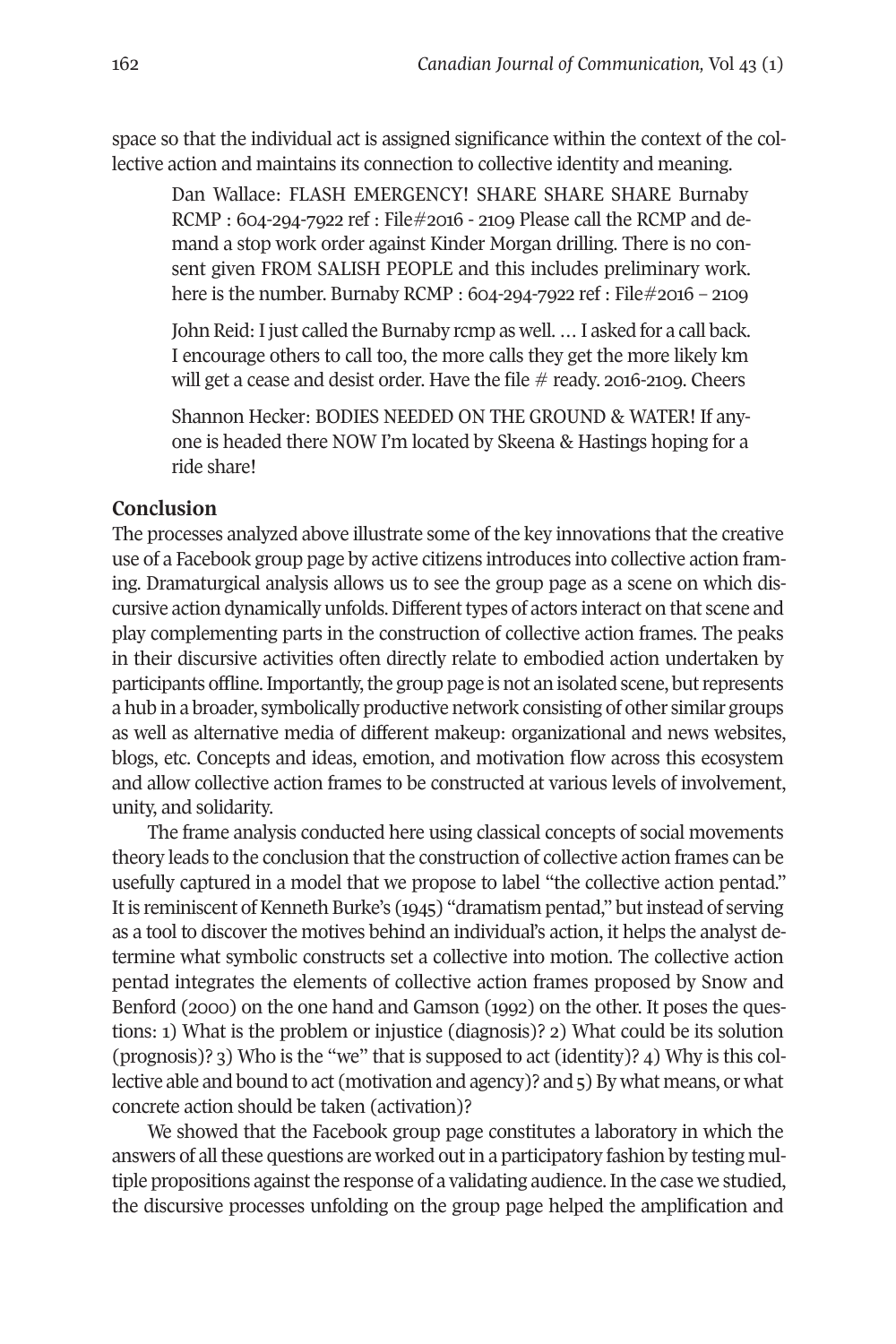space so that the individual act is assigned significance within the context of the collective action and maintains its connection to collective identity and meaning.

Dan Wallace: FLASH EMERGENCY! SHARE SHARE SHARE Burnaby RCMP : 604-294-7922 ref : File#2016 - 2109 Please call the RCMP and demand a stop work order against Kinder Morgan drilling. There is no consent given FROM SALISH PEOPLE and this includes preliminary work. here is the number. Burnaby RCMP : 604-294-7922 ref : File#2016 – 2109

John Reid: I just called the Burnaby rcmp as well. ... I asked for a call back. I encourage others to call too, the more calls they get the more likely km will get a cease and desist order. Have the file  $#$  ready. 2016-2109. Cheers

Shannon Hecker: BODIES NEEDED ON THE GROUND & WATER! If anyone is headed there NOW I'm located by Skeena & Hastings hoping for a ride share!

## **Conclusion**

The processes analyzed above illustrate some of the key innovations that the creative use of a Facebook group page by active citizens introduces into collective action framing. Dramaturgical analysis allows us to see the group page as a scene on which discursive action dynamically unfolds. Different types of actors interact on that scene and play complementing parts in the construction of collective action frames. The peaks in their discursive activities often directly relate to embodied action undertaken by participants offline. Importantly, the group page is not an isolated scene, but represents a hub in a broader, symbolically productive network consisting of other similar groups as well as alternative media of different makeup: organizational and news websites, blogs, etc. Concepts and ideas, emotion, and motivation flow across this ecosystem and allow collective action frames to be constructed at various levels of involvement, unity, and solidarity.

The frame analysis conducted here using classical concepts of social movements theory leads to the conclusion that the construction of collective action frames can be usefully captured in a model that we propose to label "the collective action pentad." It is reminiscent of Kenneth Burke's (1945) "dramatism pentad," but instead of serving as a tool to discover the motives behind an individual's action, it helps the analyst determine what symbolic constructs set a collective into motion. The collective action pentad integrates the elements of collective action frames proposed by Snow and Benford (2000) on the one hand and Gamson (1992) on the other. It poses the questions: 1) What is the problem or injustice (diagnosis)? 2) What could be its solution (prognosis)? 3) Who is the "we" that is supposed to act (identity)? 4) Why is this collective able and bound to act (motivation and agency)? and 5) By what means, or what concrete action should be taken (activation)?

We showed that the Facebook group page constitutes a laboratory in which the answers of all these questions are worked out in a participatory fashion by testing multiple propositions against the response of a validating audience. In the case we studied, the discursive processes unfolding on the group page helped the amplification and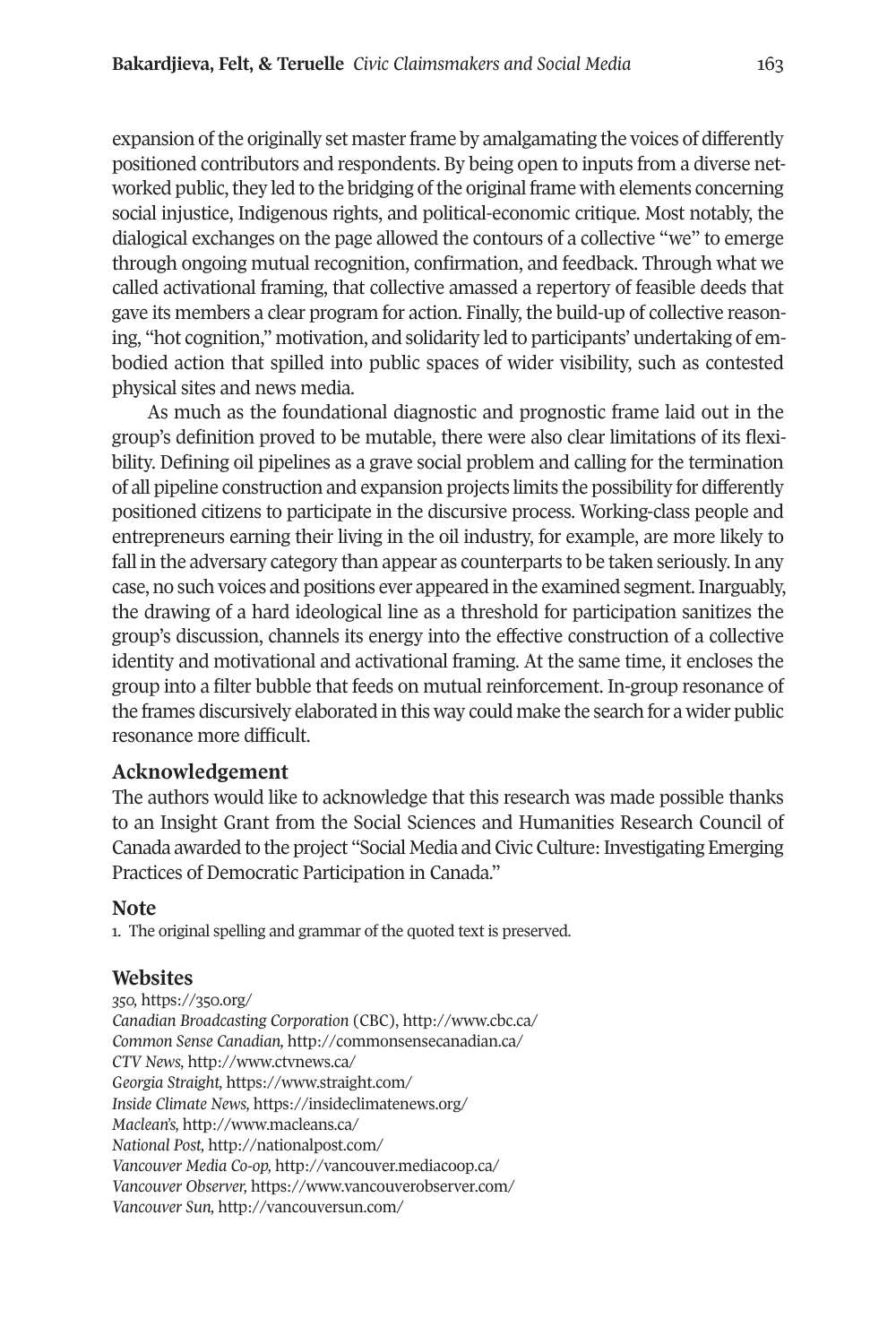expansion ofthe originally set masterframe by amalgamating the voices of differently positioned contributors and respondents. By being open to inputs from a diverse networked public, they led to the bridging of the original frame with elements concerning social injustice, Indigenous rights, and political-economic critique. Most notably, the dialogical exchanges on the page allowed the contours of a collective "we" to emerge through ongoing mutual recognition, confirmation, and feedback. Through what we called activational framing, that collective amassed a repertory of feasible deeds that gave its members a clear program for action. Finally, the build-up of collective reasoning, "hot cognition," motivation, and solidarity led to participants' undertaking of embodied action that spilled into public spaces of wider visibility, such as contested physical sites and news media.

As much as the foundational diagnostic and prognostic frame laid out in the group's definition proved to be mutable, there were also clear limitations of its flexibility. Defining oil pipelines as a grave social problem and calling for the termination of all pipeline construction and expansion projects limits the possibility for differently positioned citizens to participate in the discursive process. Working-class people and entrepreneurs earning their living in the oil industry, for example, are more likely to fall in the adversary category than appear as counterparts to be taken seriously. In any case, no such voices and positions ever appeared in the examined segment.Inarguably, the drawing of a hard ideological line as a threshold for participation sanitizes the group's discussion, channels its energy into the effective construction of a collective identity and motivational and activational framing. At the same time, it encloses the group into a filter bubble that feeds on mutual reinforcement. In-group resonance of the frames discursively elaborated in this way could make the search for a wider public resonance more difficult.

## **Acknowledgement**

The authors would like to acknowledge that this research was made possible thanks to an Insight Grant from the Social Sciences and Humanities Research Council of Canada awarded to the project "Social Media and Civic Culture: Investigating Emerging Practices of Democratic Participation in Canada."

#### **Note**

1. The original spelling and grammar of the quoted text is preserved.

#### **Websites**

*350,* <https://350.org/> *Canadian Broadcasting Corporation* (CBC), <http://www.cbc.ca/> *Common Sense Canadian,* <http://commonsensecanadian.ca/> *CTV News,* <http://www.ctvnews.ca/> *Georgia Straight,* <https://www.straight.com/> *Inside Climate News,* <https://insideclimatenews.org/> *Maclean's,* <http://www.macleans.ca/> *National Post,* <http://nationalpost.com/> *Vancouver Media Co-op,* <http://vancouver.mediacoop.ca/> *Vancouver Observer,* <https://www.vancouverobserver.com/> *Vancouver Sun,* <http://vancouversun.com/>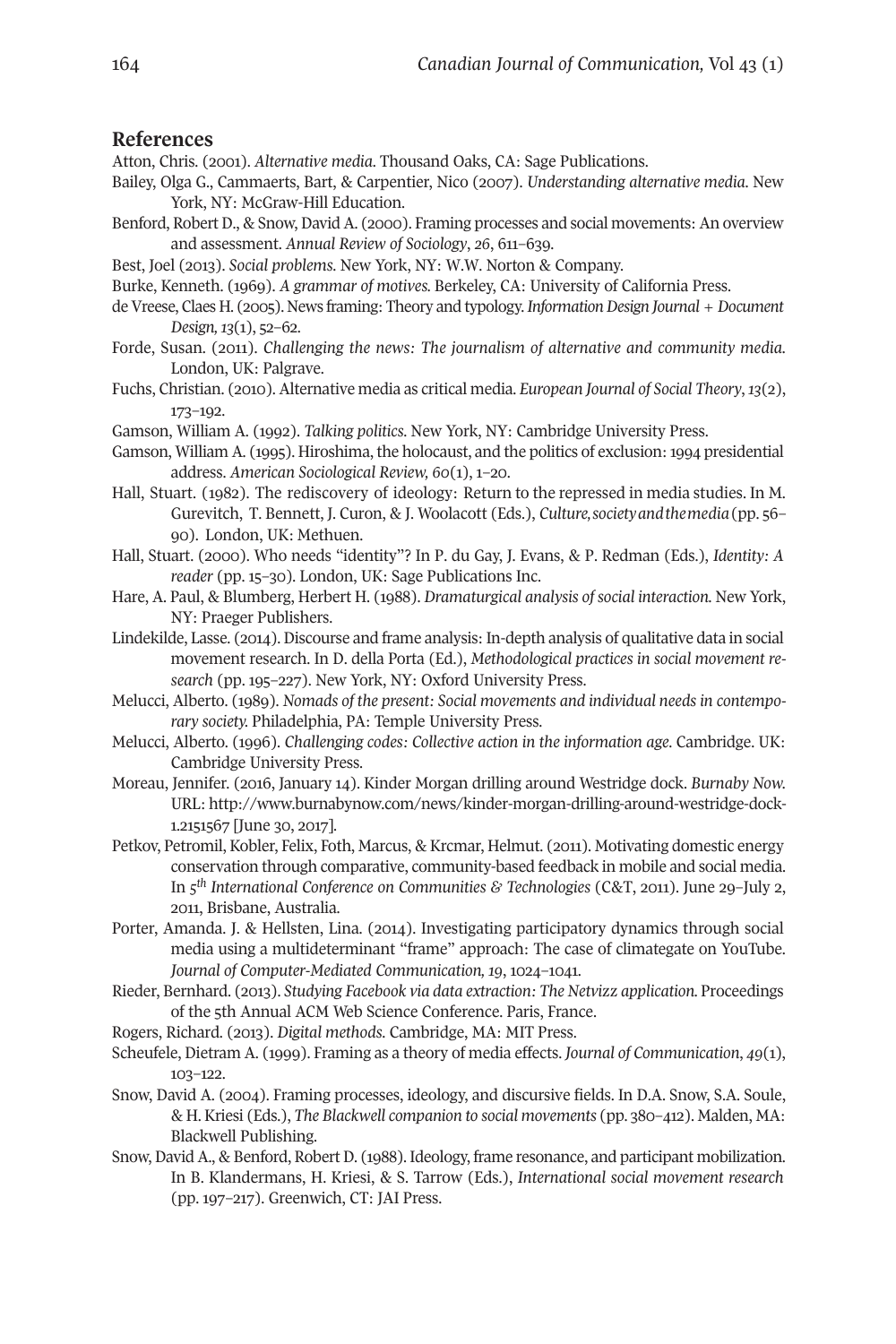#### **References**

Atton, Chris. (2001). *Alternative media*. Thousand Oaks, CA: Sage Publications.

- Bailey, Olga G., Cammaerts, Bart, & Carpentier, Nico (2007). *Understanding alternative media*. New York, NY: McGraw-Hill Education.
- Benford, Robert D., & Snow, David A. (2000). Framing processes and social movements: An overview and assessment. *Annual Review of Sociology*, *26*, 611–639.
- Best, Joel (2013). *Social problems*. New York, NY: W.W. Norton & Company.
- Burke, Kenneth. (1969). *A grammar of motives.* Berkeley, CA: University of California Press.
- deVreese, Claes H. (2005). News framing: Theory and typology.*InformationDesign Journal+Document Design, 13*(1), 52–62.
- Forde, Susan. (2011). *Challenging the news: The journalism of alternative and community media.* London, UK: Palgrave.
- Fuchs, Christian. (2010). Alternative media as critical media. *European Journal of Social Theory*,*13*(2), 173–192.
- Gamson, William A. (1992). *Talking politics*. New York, NY: Cambridge University Press.
- Gamson, William A. (1995). Hiroshima, the holocaust, and the politics of exclusion:1994 presidential address. *American Sociological Review, 60*(1), 1–20.
- Hall, Stuart. (1982). The rediscovery of ideology: Return to the repressed in media studies. In M. Gurevitch, T. Bennett, J. Curon, & J. Woolacott (Eds.), *Culture,societyandthemedia*(pp. 56– 90). London, UK: Methuen.
- Hall, Stuart. (2000). Who needs "identity"? In P. du Gay, J. Evans, & P. Redman (Eds.), *Identity: A reader* (pp. 15–30)*.* London, UK: Sage Publications Inc.
- Hare, A. Paul, & Blumberg, Herbert H. (1988). *Dramaturgical analysis of social interaction.* New York, NY: Praeger Publishers.
- Lindekilde, Lasse. (2014). Discourse and frame analysis: In-depth analysis of qualitative data in social movement research. In D. della Porta (Ed.), *Methodological practices in social movement research* (pp. 195–227). New York, NY: Oxford University Press.
- Melucci, Alberto. (1989). *Nomads of the present: Social movements and individual needs in contemporary society.* Philadelphia, PA: Temple University Press.
- Melucci, Alberto. (1996). *Challenging codes: Collective action in the information age*. Cambridge. UK: Cambridge University Press.
- Moreau, Jennifer. (2016, January 14). Kinder Morgan drilling around Westridge dock. *Burnaby Now.* URL: [http://www.burnabynow.com/news/kinder-morgan-drilling-around-westridge-dock-](http://www.burnabynow.com/news/kinder-morgan-drilling-around-westridge-dock-1.2151567)[1.2151567](http://www.burnabynow.com/news/kinder-morgan-drilling-around-westridge-dock-1.2151567) [June 30, 2017].
- Petkov, Petromil, Kobler, Felix, Foth, Marcus, & Krcmar, Helmut. (2011). Motivating domestic energy conservation through comparative, community-based feedback in mobile and social media. In *5th International Conference on Communities & Technologies* (C&T, 2011). June 29–July 2, 2011, Brisbane, Australia.
- Porter, Amanda. J. & Hellsten, Lina. (2014). Investigating participatory dynamics through social media using a multideterminant "frame" approach: The case of climategate on YouTube. *Journal of Computer-Mediated Communication, 19*, 1024–1041.
- Rieder, Bernhard. (2013). *Studying Facebook via data extraction: The Netvizz application.* Proceedings of the 5th Annual ACM Web Science Conference. Paris, France.
- Rogers, Richard. (2013). *Digital methods*. Cambridge, MA: MIT Press.
- Scheufele, Dietram A. (1999). Framing as a theory of media effects. *Journal of Communication*, *49*(1), 103–122.
- Snow, David A. (2004). Framing processes, ideology, and discursive fields. In D.A. Snow, S.A. Soule, & H. Kriesi (Eds.), *The Blackwell companion to social movements* (pp. 380–412). Malden, MA: Blackwell Publishing.
- Snow, David A., & Benford, Robert D. (1988). Ideology, frame resonance, and participant mobilization. In B. Klandermans, H. Kriesi, & S. Tarrow (Eds.), *International social movement research* (pp. 197–217). Greenwich, CT: JAI Press.